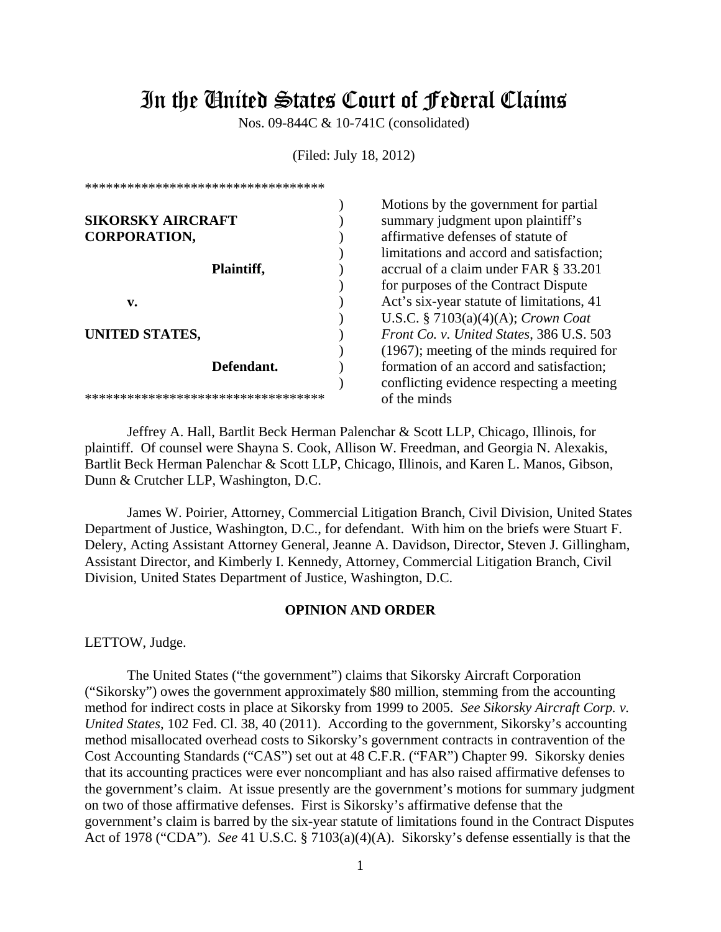# In the United States Court of Federal Claims

Nos. 09-844C & 10-741C (consolidated)

(Filed: July 18, 2012)

| <b>SIKORSKY AIRCRAFT</b>            |  |
|-------------------------------------|--|
| <b>CORPORATION,</b>                 |  |
|                                     |  |
| Plaintiff,                          |  |
|                                     |  |
| v.                                  |  |
| UNITED STATES,                      |  |
| Defendant.                          |  |
| *********************************** |  |

\*\*\*\*\*\*\*\*\*\*\*\*\*\*\*\*\*\*\*\*\*\*\*\*\*\*\*\*\*\*\*\*\*\*

Motions by the government for partial summary judgment upon plaintiff's affirmative defenses of statute of limitations and accord and satisfaction; accrual of a claim under FAR § 33.201 for purposes of the Contract Dispute Act's six-year statute of limitations, 41 U.S.C. § 7103(a)(4)(A); *Crown Coat Front Co. v. United States*, 386 U.S. 503 (1967); meeting of the minds required for formation of an accord and satisfaction; conflicting evidence respecting a meeting of the minds

 Jeffrey A. Hall, Bartlit Beck Herman Palenchar & Scott LLP, Chicago, Illinois, for plaintiff. Of counsel were Shayna S. Cook, Allison W. Freedman, and Georgia N. Alexakis, Bartlit Beck Herman Palenchar & Scott LLP, Chicago, Illinois, and Karen L. Manos, Gibson, Dunn & Crutcher LLP, Washington, D.C.

 James W. Poirier, Attorney, Commercial Litigation Branch, Civil Division, United States Department of Justice, Washington, D.C., for defendant. With him on the briefs were Stuart F. Delery, Acting Assistant Attorney General, Jeanne A. Davidson, Director, Steven J. Gillingham, Assistant Director, and Kimberly I. Kennedy, Attorney, Commercial Litigation Branch, Civil Division, United States Department of Justice, Washington, D.C.

## **OPINION AND ORDER**

LETTOW, Judge.

The United States ("the government") claims that Sikorsky Aircraft Corporation ("Sikorsky") owes the government approximately \$80 million, stemming from the accounting method for indirect costs in place at Sikorsky from 1999 to 2005. *See Sikorsky Aircraft Corp. v. United States*, 102 Fed. Cl. 38, 40 (2011).According to the government, Sikorsky's accounting method misallocated overhead costs to Sikorsky's government contracts in contravention of the Cost Accounting Standards ("CAS") set out at 48 C.F.R. ("FAR") Chapter 99. Sikorsky denies that its accounting practices were ever noncompliant and has also raised affirmative defenses to the government's claim. At issue presently are the government's motions for summary judgment on two of those affirmative defenses. First is Sikorsky's affirmative defense that the government's claim is barred by the six-year statute of limitations found in the Contract Disputes Act of 1978 ("CDA"). *See* 41 U.S.C. § 7103(a)(4)(A). Sikorsky's defense essentially is that the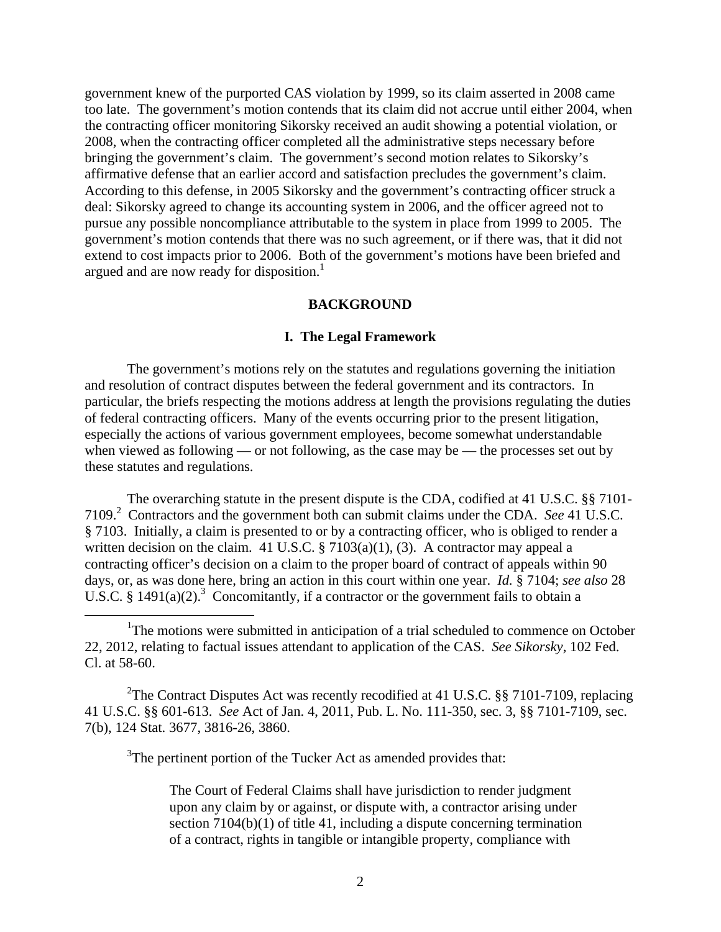government knew of the purported CAS violation by 1999, so its claim asserted in 2008 came too late. The government's motion contends that its claim did not accrue until either 2004, when the contracting officer monitoring Sikorsky received an audit showing a potential violation, or 2008, when the contracting officer completed all the administrative steps necessary before bringing the government's claim. The government's second motion relates to Sikorsky's affirmative defense that an earlier accord and satisfaction precludes the government's claim. According to this defense, in 2005 Sikorsky and the government's contracting officer struck a deal: Sikorsky agreed to change its accounting system in 2006, and the officer agreed not to pursue any possible noncompliance attributable to the system in place from 1999 to 2005. The government's motion contends that there was no such agreement, or if there was, that it did not extend to cost impacts prior to 2006. Both of the government's motions have been briefed and argued and are now ready for disposition.<sup>1</sup>

## **BACKGROUND**

## **I. The Legal Framework**

The government's motions rely on the statutes and regulations governing the initiation and resolution of contract disputes between the federal government and its contractors. In particular, the briefs respecting the motions address at length the provisions regulating the duties of federal contracting officers. Many of the events occurring prior to the present litigation, especially the actions of various government employees, become somewhat understandable when viewed as following — or not following, as the case may be — the processes set out by these statutes and regulations.

The overarching statute in the present dispute is the CDA, codified at 41 U.S.C. §§ 7101- 7109.2 Contractors and the government both can submit claims under the CDA. *See* 41 U.S.C. § 7103. Initially, a claim is presented to or by a contracting officer, who is obliged to render a written decision on the claim. 41 U.S.C.  $\S 7103(a)(1)$ , (3). A contractor may appeal a contracting officer's decision on a claim to the proper board of contract of appeals within 90 days, or, as was done here, bring an action in this court within one year. *Id.* § 7104; *see also* 28 U.S.C. § 1491(a)(2).<sup>3</sup> Concomitantly, if a contractor or the government fails to obtain a

<sup>2</sup>The Contract Disputes Act was recently recodified at 41 U.S.C.  $\S$ § 7101-7109, replacing 41 U.S.C. §§ 601-613. *See* Act of Jan. 4, 2011, Pub. L. No. 111-350, sec. 3, §§ 7101-7109, sec. 7(b), 124 Stat. 3677, 3816-26, 3860.

 $3$ The pertinent portion of the Tucker Act as amended provides that:

 The Court of Federal Claims shall have jurisdiction to render judgment upon any claim by or against, or dispute with, a contractor arising under section 7104(b)(1) of title 41, including a dispute concerning termination of a contract, rights in tangible or intangible property, compliance with

<sup>&</sup>lt;u>1</u> <sup>1</sup>The motions were submitted in anticipation of a trial scheduled to commence on October 22, 2012, relating to factual issues attendant to application of the CAS. *See Sikorsky*, 102 Fed. Cl. at 58-60.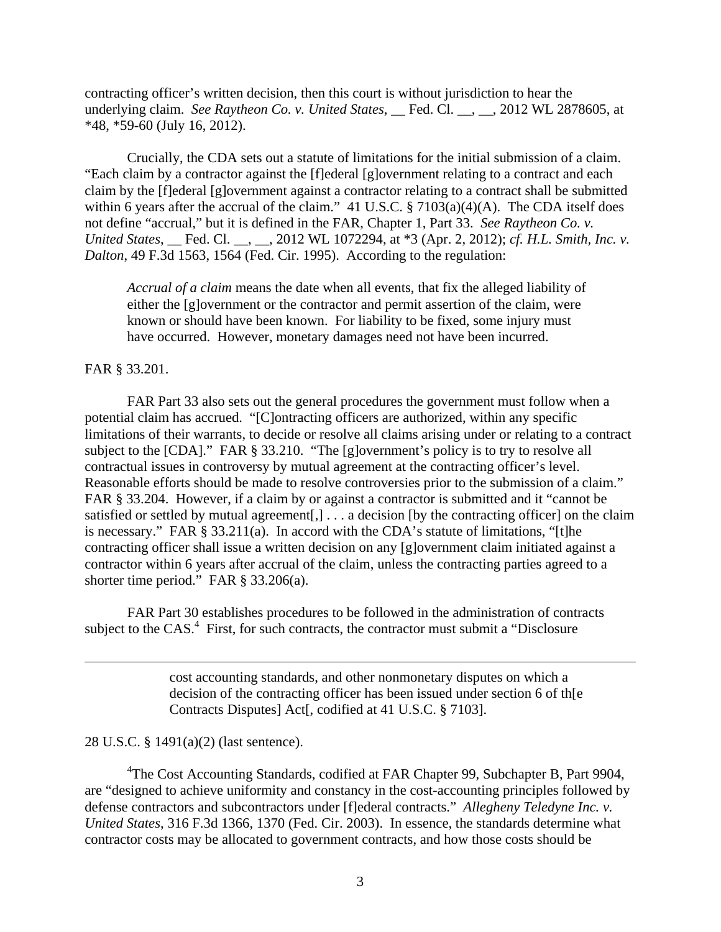contracting officer's written decision, then this court is without jurisdiction to hear the underlying claim. *See Raytheon Co. v. United States*, \_\_ Fed. Cl. \_\_, \_\_, 2012 WL 2878605, at \*48, \*59-60 (July 16, 2012).

Crucially, the CDA sets out a statute of limitations for the initial submission of a claim. "Each claim by a contractor against the [f]ederal [g]overnment relating to a contract and each claim by the [f]ederal [g]overnment against a contractor relating to a contract shall be submitted within 6 years after the accrual of the claim." 41 U.S.C.  $\S 7103(a)(4)(A)$ . The CDA itself does not define "accrual," but it is defined in the FAR, Chapter 1, Part 33. *See Raytheon Co. v. United States*, \_\_ Fed. Cl. \_\_, \_\_, 2012 WL 1072294, at \*3 (Apr. 2, 2012); *cf. H.L. Smith, Inc. v. Dalton*, 49 F.3d 1563, 1564 (Fed. Cir. 1995). According to the regulation:

*Accrual of a claim* means the date when all events, that fix the alleged liability of either the [g]overnment or the contractor and permit assertion of the claim, were known or should have been known. For liability to be fixed, some injury must have occurred. However, monetary damages need not have been incurred.

## FAR § 33.201.

 $\overline{a}$ 

 FAR Part 33 also sets out the general procedures the government must follow when a potential claim has accrued. "[C]ontracting officers are authorized, within any specific limitations of their warrants, to decide or resolve all claims arising under or relating to a contract subject to the [CDA]." FAR § 33.210. "The [g]overnment's policy is to try to resolve all contractual issues in controversy by mutual agreement at the contracting officer's level. Reasonable efforts should be made to resolve controversies prior to the submission of a claim." FAR § 33.204. However, if a claim by or against a contractor is submitted and it "cannot be satisfied or settled by mutual agreement[,]  $\ldots$  a decision [by the contracting officer] on the claim is necessary." FAR § 33.211(a). In accord with the CDA's statute of limitations, "[t]he contracting officer shall issue a written decision on any [g]overnment claim initiated against a contractor within 6 years after accrual of the claim, unless the contracting parties agreed to a shorter time period." FAR § 33.206(a).

FAR Part 30 establishes procedures to be followed in the administration of contracts subject to the  $CAS<sup>4</sup>$  First, for such contracts, the contractor must submit a "Disclosure"

> cost accounting standards, and other nonmonetary disputes on which a decision of the contracting officer has been issued under section 6 of th[e Contracts Disputes] Act[, codified at 41 U.S.C. § 7103].

# 28 U.S.C. § 1491(a)(2) (last sentence).

<sup>4</sup>The Cost Accounting Standards, codified at FAR Chapter 99, Subchapter B, Part 9904, are "designed to achieve uniformity and constancy in the cost-accounting principles followed by defense contractors and subcontractors under [f]ederal contracts." *Allegheny Teledyne Inc. v. United States*, 316 F.3d 1366, 1370 (Fed. Cir. 2003). In essence, the standards determine what contractor costs may be allocated to government contracts, and how those costs should be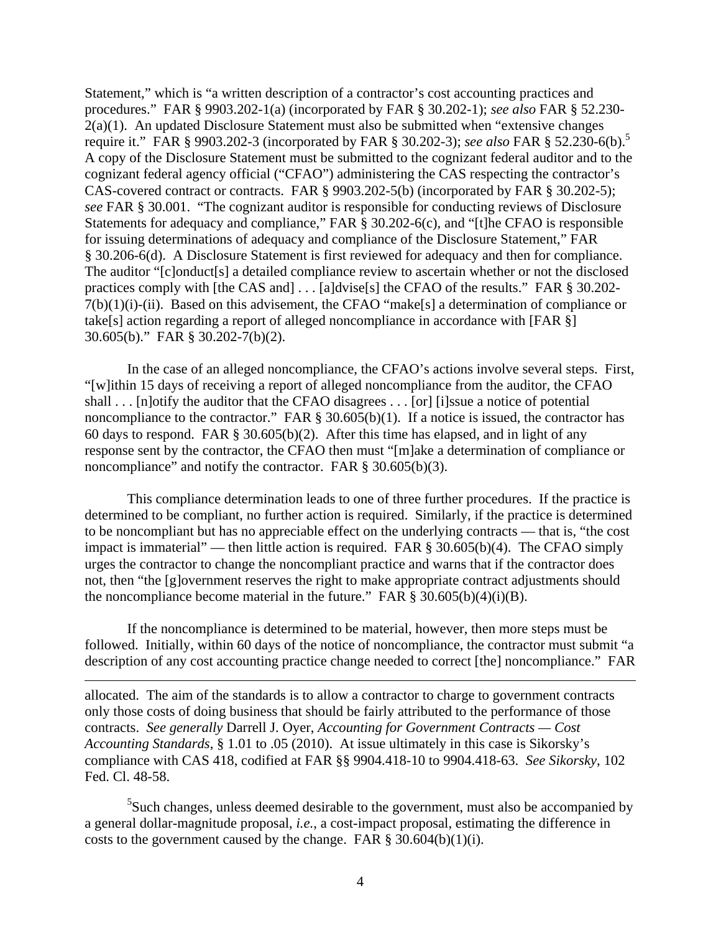Statement," which is "a written description of a contractor's cost accounting practices and procedures." FAR § 9903.202-1(a) (incorporated by FAR § 30.202-1); *see also* FAR § 52.230- 2(a)(1). An updated Disclosure Statement must also be submitted when "extensive changes require it." FAR § 9903.202-3 (incorporated by FAR § 30.202-3); *see also* FAR § 52.230-6(b).5 A copy of the Disclosure Statement must be submitted to the cognizant federal auditor and to the cognizant federal agency official ("CFAO") administering the CAS respecting the contractor's CAS-covered contract or contracts. FAR § 9903.202-5(b) (incorporated by FAR § 30.202-5); *see* FAR § 30.001. "The cognizant auditor is responsible for conducting reviews of Disclosure Statements for adequacy and compliance," FAR § 30.202-6(c), and "[t]he CFAO is responsible for issuing determinations of adequacy and compliance of the Disclosure Statement," FAR § 30.206-6(d). A Disclosure Statement is first reviewed for adequacy and then for compliance. The auditor "[c]onduct[s] a detailed compliance review to ascertain whether or not the disclosed practices comply with [the CAS and] . . . [a]dvise[s] the CFAO of the results." FAR § 30.202- 7(b)(1)(i)-(ii). Based on this advisement, the CFAO "make[s] a determination of compliance or take[s] action regarding a report of alleged noncompliance in accordance with [FAR §] 30.605(b)." FAR § 30.202-7(b)(2).

In the case of an alleged noncompliance, the CFAO's actions involve several steps. First, "[w]ithin 15 days of receiving a report of alleged noncompliance from the auditor, the CFAO shall . . . [n]otify the auditor that the CFAO disagrees . . . [or] [i]ssue a notice of potential noncompliance to the contractor." FAR § 30.605(b)(1). If a notice is issued, the contractor has 60 days to respond. FAR § 30.605(b)(2). After this time has elapsed, and in light of any response sent by the contractor, the CFAO then must "[m]ake a determination of compliance or noncompliance" and notify the contractor. FAR § 30.605(b)(3).

This compliance determination leads to one of three further procedures. If the practice is determined to be compliant, no further action is required. Similarly, if the practice is determined to be noncompliant but has no appreciable effect on the underlying contracts — that is, "the cost impact is immaterial" — then little action is required. FAR § 30.605(b)(4). The CFAO simply urges the contractor to change the noncompliant practice and warns that if the contractor does not, then "the [g]overnment reserves the right to make appropriate contract adjustments should the noncompliance become material in the future." FAR  $\S 30.605(b)(4)(i)(B)$ .

If the noncompliance is determined to be material, however, then more steps must be followed. Initially, within 60 days of the notice of noncompliance, the contractor must submit "a description of any cost accounting practice change needed to correct [the] noncompliance." FAR

allocated. The aim of the standards is to allow a contractor to charge to government contracts only those costs of doing business that should be fairly attributed to the performance of those contracts. *See generally* Darrell J. Oyer, *Accounting for Government Contracts — Cost Accounting Standards*, § 1.01 to .05 (2010). At issue ultimately in this case is Sikorsky's compliance with CAS 418, codified at FAR §§ 9904.418-10 to 9904.418-63. *See Sikorsky*, 102 Fed. Cl. 48-58.

1

 $5$ Such changes, unless deemed desirable to the government, must also be accompanied by a general dollar-magnitude proposal, *i.e.*, a cost-impact proposal, estimating the difference in costs to the government caused by the change. FAR  $\S 30.604(b)(1)(i)$ .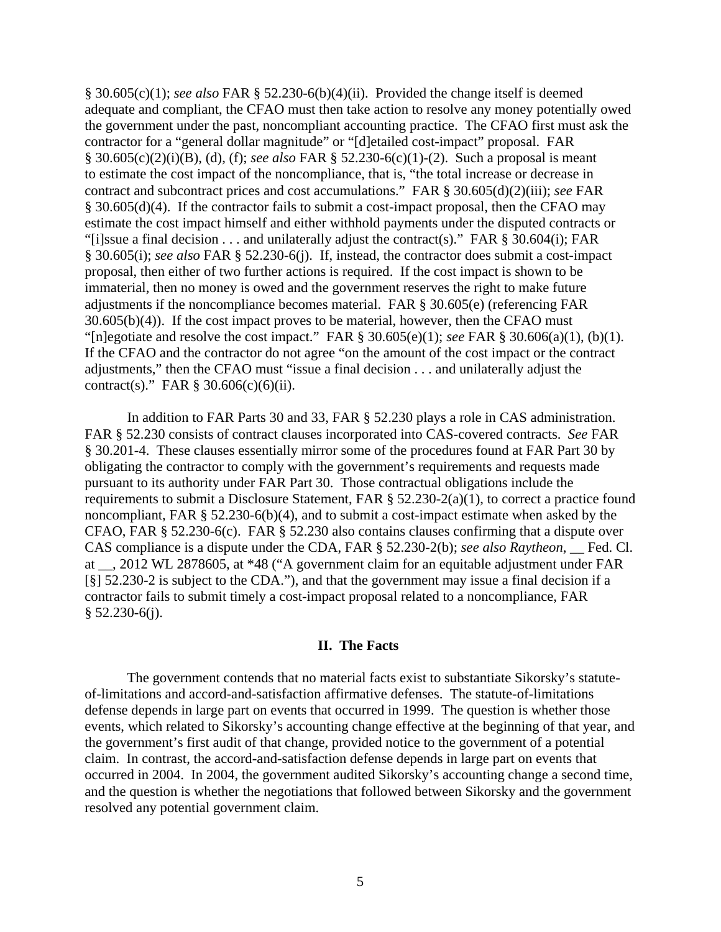§ 30.605(c)(1); *see also* FAR § 52.230-6(b)(4)(ii). Provided the change itself is deemed adequate and compliant, the CFAO must then take action to resolve any money potentially owed the government under the past, noncompliant accounting practice. The CFAO first must ask the contractor for a "general dollar magnitude" or "[d]etailed cost-impact" proposal. FAR § 30.605(c)(2)(i)(B), (d), (f); *see also* FAR § 52.230-6(c)(1)-(2). Such a proposal is meant to estimate the cost impact of the noncompliance, that is, "the total increase or decrease in contract and subcontract prices and cost accumulations." FAR § 30.605(d)(2)(iii); *see* FAR § 30.605(d)(4). If the contractor fails to submit a cost-impact proposal, then the CFAO may estimate the cost impact himself and either withhold payments under the disputed contracts or "[i]ssue a final decision . . . and unilaterally adjust the contract(s)." FAR  $\S$  30.604(i); FAR § 30.605(i); *see also* FAR § 52.230-6(j). If, instead, the contractor does submit a cost-impact proposal, then either of two further actions is required. If the cost impact is shown to be immaterial, then no money is owed and the government reserves the right to make future adjustments if the noncompliance becomes material. FAR § 30.605(e) (referencing FAR 30.605(b)(4)). If the cost impact proves to be material, however, then the CFAO must "[n]egotiate and resolve the cost impact." FAR § 30.605(e)(1); *see* FAR § 30.606(a)(1), (b)(1). If the CFAO and the contractor do not agree "on the amount of the cost impact or the contract adjustments," then the CFAO must "issue a final decision . . . and unilaterally adjust the contract(s)." FAR  $\S 30.606(c)(6)(ii)$ .

In addition to FAR Parts 30 and 33, FAR § 52.230 plays a role in CAS administration. FAR § 52.230 consists of contract clauses incorporated into CAS-covered contracts. *See* FAR § 30.201-4. These clauses essentially mirror some of the procedures found at FAR Part 30 by obligating the contractor to comply with the government's requirements and requests made pursuant to its authority under FAR Part 30. Those contractual obligations include the requirements to submit a Disclosure Statement, FAR § 52.230-2(a)(1), to correct a practice found noncompliant, FAR § 52.230-6(b)(4), and to submit a cost-impact estimate when asked by the CFAO, FAR § 52.230-6(c). FAR § 52.230 also contains clauses confirming that a dispute over CAS compliance is a dispute under the CDA, FAR § 52.230-2(b); *see also Raytheon*, \_\_ Fed. Cl. at \_\_, 2012 WL 2878605, at \*48 ("A government claim for an equitable adjustment under FAR [§] 52.230-2 is subject to the CDA."), and that the government may issue a final decision if a contractor fails to submit timely a cost-impact proposal related to a noncompliance, FAR § 52.230-6(j).

## **II. The Facts**

The government contends that no material facts exist to substantiate Sikorsky's statuteof-limitations and accord-and-satisfaction affirmative defenses. The statute-of-limitations defense depends in large part on events that occurred in 1999. The question is whether those events, which related to Sikorsky's accounting change effective at the beginning of that year, and the government's first audit of that change, provided notice to the government of a potential claim. In contrast, the accord-and-satisfaction defense depends in large part on events that occurred in 2004. In 2004, the government audited Sikorsky's accounting change a second time, and the question is whether the negotiations that followed between Sikorsky and the government resolved any potential government claim.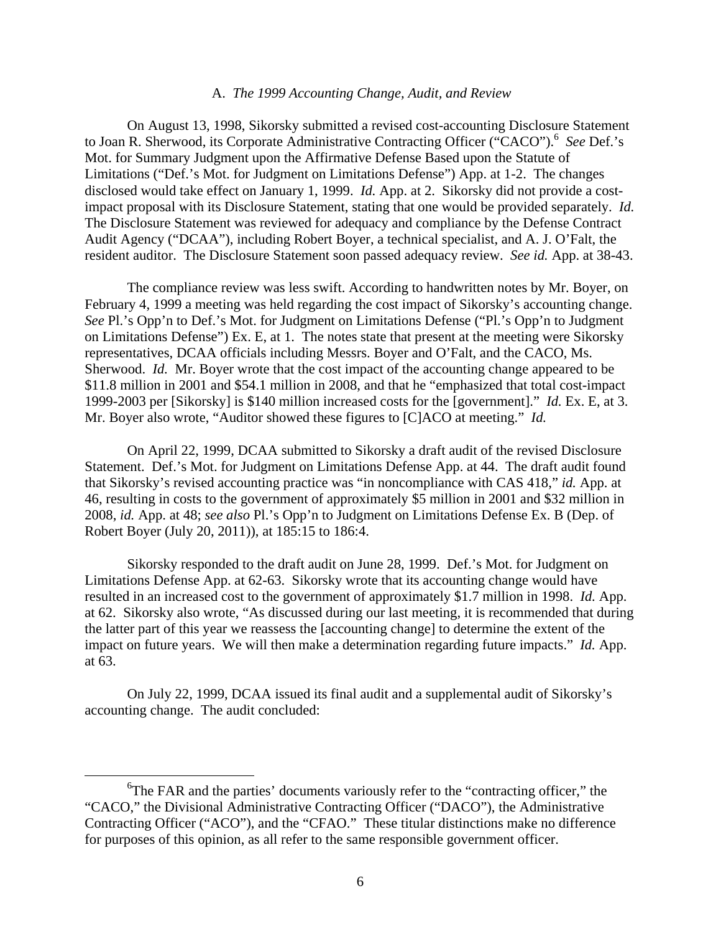### A. *The 1999 Accounting Change, Audit, and Review*

 On August 13, 1998, Sikorsky submitted a revised cost-accounting Disclosure Statement to Joan R. Sherwood, its Corporate Administrative Contracting Officer ("CACO").<sup>6</sup> See Def.'s Mot. for Summary Judgment upon the Affirmative Defense Based upon the Statute of Limitations ("Def.'s Mot. for Judgment on Limitations Defense") App. at 1-2. The changes disclosed would take effect on January 1, 1999. *Id.* App. at 2. Sikorsky did not provide a costimpact proposal with its Disclosure Statement, stating that one would be provided separately. *Id.* The Disclosure Statement was reviewed for adequacy and compliance by the Defense Contract Audit Agency ("DCAA"), including Robert Boyer, a technical specialist, and A. J. O'Falt, the resident auditor. The Disclosure Statement soon passed adequacy review. *See id.* App. at 38-43.

The compliance review was less swift. According to handwritten notes by Mr. Boyer, on February 4, 1999 a meeting was held regarding the cost impact of Sikorsky's accounting change. *See* Pl.'s Opp'n to Def.'s Mot. for Judgment on Limitations Defense ("Pl.'s Opp'n to Judgment on Limitations Defense") Ex. E, at 1. The notes state that present at the meeting were Sikorsky representatives, DCAA officials including Messrs. Boyer and O'Falt, and the CACO, Ms. Sherwood. *Id.* Mr. Boyer wrote that the cost impact of the accounting change appeared to be \$11.8 million in 2001 and \$54.1 million in 2008, and that he "emphasized that total cost-impact 1999-2003 per [Sikorsky] is \$140 million increased costs for the [government]." *Id.* Ex. E, at 3. Mr. Boyer also wrote, "Auditor showed these figures to [C]ACO at meeting." *Id.* 

On April 22, 1999, DCAA submitted to Sikorsky a draft audit of the revised Disclosure Statement. Def.'s Mot. for Judgment on Limitations Defense App. at 44. The draft audit found that Sikorsky's revised accounting practice was "in noncompliance with CAS 418," *id.* App. at 46, resulting in costs to the government of approximately \$5 million in 2001 and \$32 million in 2008, *id.* App. at 48; *see also* Pl.'s Opp'n to Judgment on Limitations Defense Ex. B (Dep. of Robert Boyer (July 20, 2011)), at 185:15 to 186:4.

Sikorsky responded to the draft audit on June 28, 1999. Def.'s Mot. for Judgment on Limitations Defense App. at 62-63. Sikorsky wrote that its accounting change would have resulted in an increased cost to the government of approximately \$1.7 million in 1998. *Id.* App. at 62. Sikorsky also wrote, "As discussed during our last meeting, it is recommended that during the latter part of this year we reassess the [accounting change] to determine the extent of the impact on future years. We will then make a determination regarding future impacts." *Id.* App. at 63.

On July 22, 1999, DCAA issued its final audit and a supplemental audit of Sikorsky's accounting change. The audit concluded:

 $\begin{array}{c|c}\n\hline\n\end{array}$ <sup>6</sup>The FAR and the parties' documents variously refer to the "contracting officer," the "CACO," the Divisional Administrative Contracting Officer ("DACO"), the Administrative Contracting Officer ("ACO"), and the "CFAO." These titular distinctions make no difference for purposes of this opinion, as all refer to the same responsible government officer.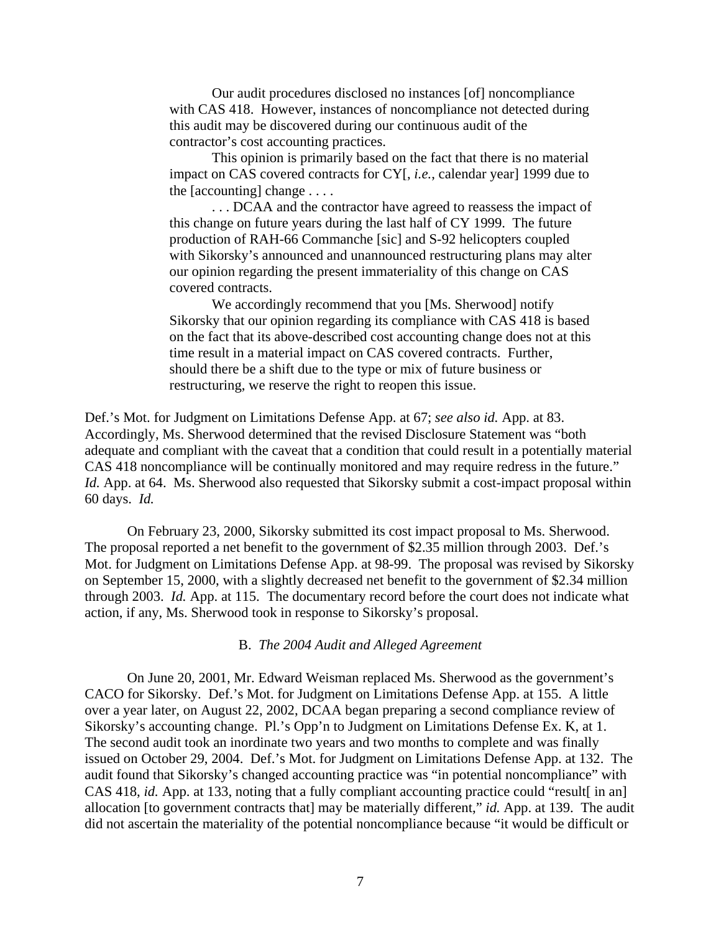Our audit procedures disclosed no instances [of] noncompliance with CAS 418. However, instances of noncompliance not detected during this audit may be discovered during our continuous audit of the contractor's cost accounting practices.

This opinion is primarily based on the fact that there is no material impact on CAS covered contracts for CY[, *i.e.*, calendar year] 1999 due to the  $[acounting]$  change  $\dots$ .

. . . DCAA and the contractor have agreed to reassess the impact of this change on future years during the last half of CY 1999. The future production of RAH-66 Commanche [sic] and S-92 helicopters coupled with Sikorsky's announced and unannounced restructuring plans may alter our opinion regarding the present immateriality of this change on CAS covered contracts.

We accordingly recommend that you [Ms. Sherwood] notify Sikorsky that our opinion regarding its compliance with CAS 418 is based on the fact that its above-described cost accounting change does not at this time result in a material impact on CAS covered contracts. Further, should there be a shift due to the type or mix of future business or restructuring, we reserve the right to reopen this issue.

Def.'s Mot. for Judgment on Limitations Defense App. at 67; *see also id.* App. at 83. Accordingly, Ms. Sherwood determined that the revised Disclosure Statement was "both adequate and compliant with the caveat that a condition that could result in a potentially material CAS 418 noncompliance will be continually monitored and may require redress in the future." *Id.* App. at 64. Ms. Sherwood also requested that Sikorsky submit a cost-impact proposal within 60 days. *Id.* 

 On February 23, 2000, Sikorsky submitted its cost impact proposal to Ms. Sherwood. The proposal reported a net benefit to the government of \$2.35 million through 2003. Def.'s Mot. for Judgment on Limitations Defense App. at 98-99. The proposal was revised by Sikorsky on September 15, 2000, with a slightly decreased net benefit to the government of \$2.34 million through 2003. *Id.* App. at 115. The documentary record before the court does not indicate what action, if any, Ms. Sherwood took in response to Sikorsky's proposal.

B. *The 2004 Audit and Alleged Agreement* 

 On June 20, 2001, Mr. Edward Weisman replaced Ms. Sherwood as the government's CACO for Sikorsky. Def.'s Mot. for Judgment on Limitations Defense App. at 155. A little over a year later, on August 22, 2002, DCAA began preparing a second compliance review of Sikorsky's accounting change. Pl.'s Opp'n to Judgment on Limitations Defense Ex. K, at 1. The second audit took an inordinate two years and two months to complete and was finally issued on October 29, 2004. Def.'s Mot. for Judgment on Limitations Defense App. at 132. The audit found that Sikorsky's changed accounting practice was "in potential noncompliance" with CAS 418, *id.* App. at 133, noting that a fully compliant accounting practice could "result in an] allocation [to government contracts that] may be materially different," *id.* App. at 139. The audit did not ascertain the materiality of the potential noncompliance because "it would be difficult or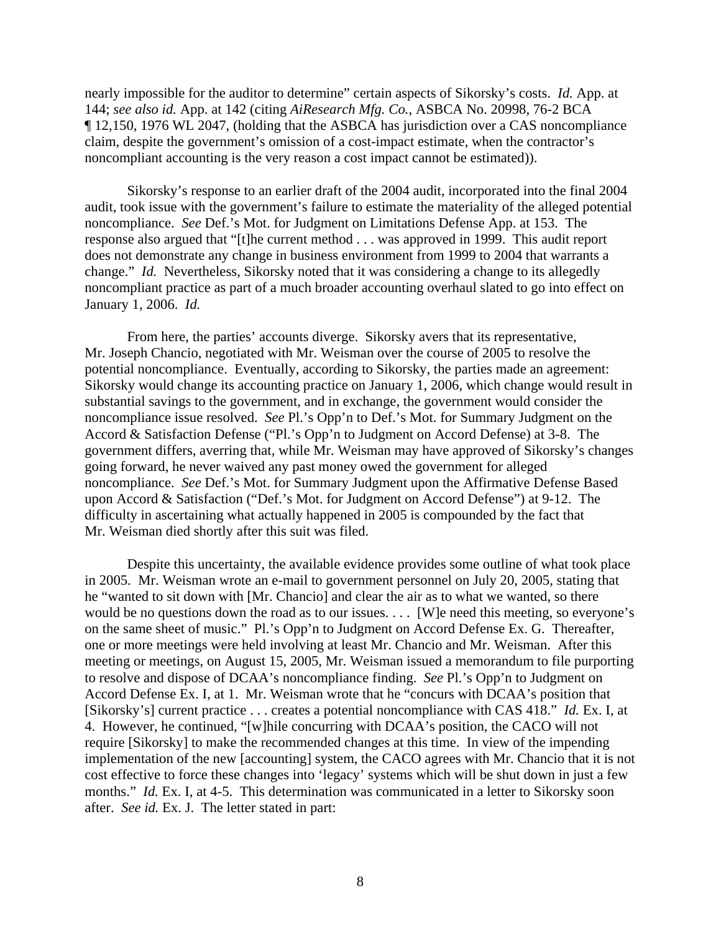nearly impossible for the auditor to determine" certain aspects of Sikorsky's costs. *Id.* App. at 144; *see also id.* App. at 142 (citing *AiResearch Mfg. Co.*, ASBCA No. 20998, 76-2 BCA ¶ 12,150, 1976 WL 2047, (holding that the ASBCA has jurisdiction over a CAS noncompliance claim, despite the government's omission of a cost-impact estimate, when the contractor's noncompliant accounting is the very reason a cost impact cannot be estimated)).

Sikorsky's response to an earlier draft of the 2004 audit, incorporated into the final 2004 audit, took issue with the government's failure to estimate the materiality of the alleged potential noncompliance. *See* Def.'s Mot. for Judgment on Limitations Defense App. at 153. The response also argued that "[t]he current method . . . was approved in 1999. This audit report does not demonstrate any change in business environment from 1999 to 2004 that warrants a change." *Id.* Nevertheless, Sikorsky noted that it was considering a change to its allegedly noncompliant practice as part of a much broader accounting overhaul slated to go into effect on January 1, 2006. *Id.* 

 From here, the parties' accounts diverge. Sikorsky avers that its representative, Mr. Joseph Chancio, negotiated with Mr. Weisman over the course of 2005 to resolve the potential noncompliance. Eventually, according to Sikorsky, the parties made an agreement: Sikorsky would change its accounting practice on January 1, 2006, which change would result in substantial savings to the government, and in exchange, the government would consider the noncompliance issue resolved. *See* Pl.'s Opp'n to Def.'s Mot. for Summary Judgment on the Accord & Satisfaction Defense ("Pl.'s Opp'n to Judgment on Accord Defense) at 3-8. The government differs, averring that, while Mr. Weisman may have approved of Sikorsky's changes going forward, he never waived any past money owed the government for alleged noncompliance. *See* Def.'s Mot. for Summary Judgment upon the Affirmative Defense Based upon Accord & Satisfaction ("Def.'s Mot. for Judgment on Accord Defense") at 9-12. The difficulty in ascertaining what actually happened in 2005 is compounded by the fact that Mr. Weisman died shortly after this suit was filed.

 Despite this uncertainty, the available evidence provides some outline of what took place in 2005. Mr. Weisman wrote an e-mail to government personnel on July 20, 2005, stating that he "wanted to sit down with [Mr. Chancio] and clear the air as to what we wanted, so there would be no questions down the road as to our issues. . . . [W]e need this meeting, so everyone's on the same sheet of music." Pl.'s Opp'n to Judgment on Accord Defense Ex. G. Thereafter, one or more meetings were held involving at least Mr. Chancio and Mr. Weisman. After this meeting or meetings, on August 15, 2005, Mr. Weisman issued a memorandum to file purporting to resolve and dispose of DCAA's noncompliance finding. *See* Pl.'s Opp'n to Judgment on Accord Defense Ex. I, at 1. Mr. Weisman wrote that he "concurs with DCAA's position that [Sikorsky's] current practice . . . creates a potential noncompliance with CAS 418." *Id.* Ex. I, at 4. However, he continued, "[w]hile concurring with DCAA's position, the CACO will not require [Sikorsky] to make the recommended changes at this time. In view of the impending implementation of the new [accounting] system, the CACO agrees with Mr. Chancio that it is not cost effective to force these changes into 'legacy' systems which will be shut down in just a few months." *Id.* Ex. I, at 4-5. This determination was communicated in a letter to Sikorsky soon after. *See id.* Ex. J. The letter stated in part: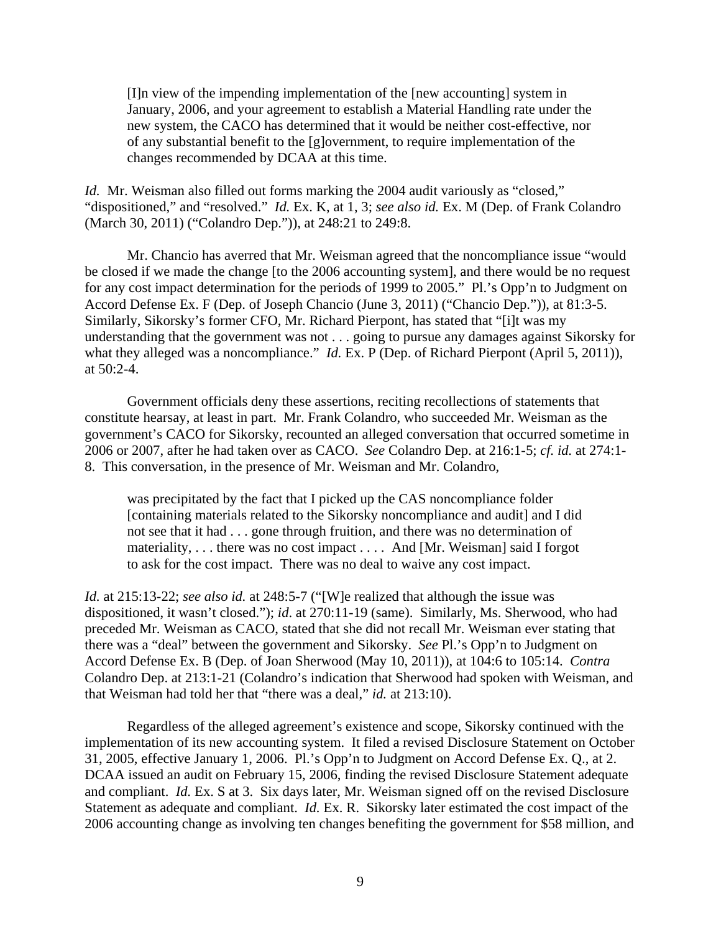[I]n view of the impending implementation of the [new accounting] system in January, 2006, and your agreement to establish a Material Handling rate under the new system, the CACO has determined that it would be neither cost-effective, nor of any substantial benefit to the [g]overnment, to require implementation of the changes recommended by DCAA at this time.

*Id.* Mr. Weisman also filled out forms marking the 2004 audit variously as "closed," "dispositioned," and "resolved." *Id.* Ex. K, at 1, 3; *see also id.* Ex. M (Dep. of Frank Colandro (March 30, 2011) ("Colandro Dep.")), at 248:21 to 249:8.

 Mr. Chancio has averred that Mr. Weisman agreed that the noncompliance issue "would be closed if we made the change [to the 2006 accounting system], and there would be no request for any cost impact determination for the periods of 1999 to 2005." Pl.'s Opp'n to Judgment on Accord Defense Ex. F (Dep. of Joseph Chancio (June 3, 2011) ("Chancio Dep.")), at 81:3-5. Similarly, Sikorsky's former CFO, Mr. Richard Pierpont, has stated that "[i]t was my understanding that the government was not . . . going to pursue any damages against Sikorsky for what they alleged was a noncompliance." *Id.* Ex. P (Dep. of Richard Pierpont (April 5, 2011)), at 50:2-4.

 Government officials deny these assertions, reciting recollections of statements that constitute hearsay, at least in part. Mr. Frank Colandro, who succeeded Mr. Weisman as the government's CACO for Sikorsky, recounted an alleged conversation that occurred sometime in 2006 or 2007, after he had taken over as CACO. *See* Colandro Dep. at 216:1-5; *cf. id.* at 274:1- 8. This conversation, in the presence of Mr. Weisman and Mr. Colandro,

was precipitated by the fact that I picked up the CAS noncompliance folder [containing materials related to the Sikorsky noncompliance and audit] and I did not see that it had . . . gone through fruition, and there was no determination of materiality, ... there was no cost impact .... And [Mr. Weisman] said I forgot to ask for the cost impact. There was no deal to waive any cost impact.

*Id.* at 215:13-22; *see also id.* at 248:5-7 ("[W]e realized that although the issue was dispositioned, it wasn't closed."); *id*. at 270:11-19 (same). Similarly, Ms. Sherwood, who had preceded Mr. Weisman as CACO, stated that she did not recall Mr. Weisman ever stating that there was a "deal" between the government and Sikorsky. *See* Pl.'s Opp'n to Judgment on Accord Defense Ex. B (Dep. of Joan Sherwood (May 10, 2011)), at 104:6 to 105:14. *Contra* Colandro Dep. at 213:1-21 (Colandro's indication that Sherwood had spoken with Weisman, and that Weisman had told her that "there was a deal," *id.* at 213:10).

 Regardless of the alleged agreement's existence and scope, Sikorsky continued with the implementation of its new accounting system. It filed a revised Disclosure Statement on October 31, 2005, effective January 1, 2006. Pl.'s Opp'n to Judgment on Accord Defense Ex. Q., at 2. DCAA issued an audit on February 15, 2006, finding the revised Disclosure Statement adequate and compliant. *Id.* Ex. S at 3. Six days later, Mr. Weisman signed off on the revised Disclosure Statement as adequate and compliant. *Id.* Ex. R. Sikorsky later estimated the cost impact of the 2006 accounting change as involving ten changes benefiting the government for \$58 million, and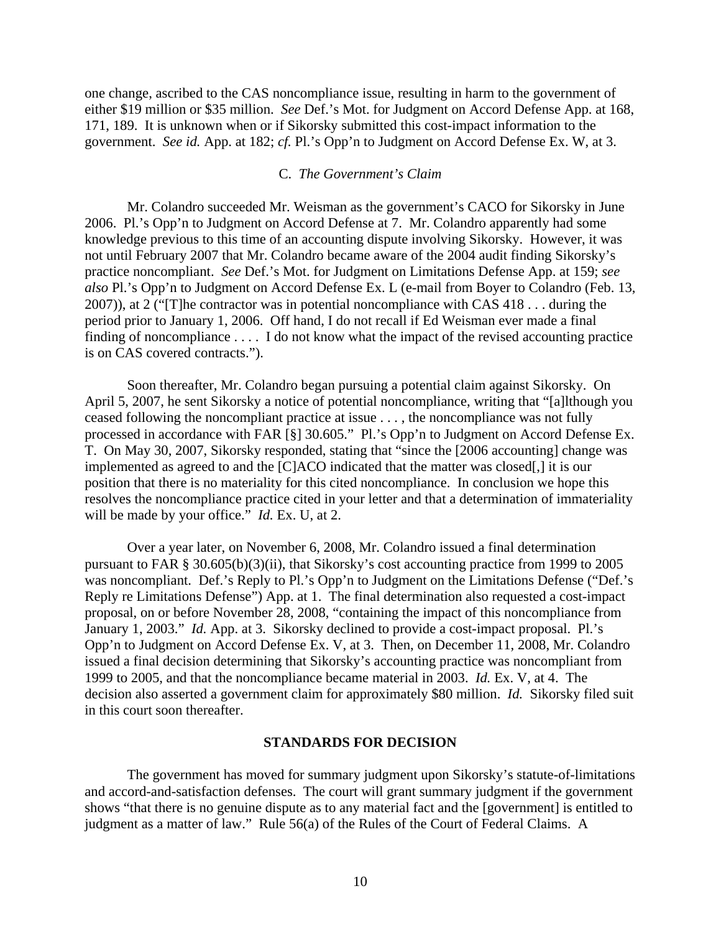one change, ascribed to the CAS noncompliance issue, resulting in harm to the government of either \$19 million or \$35 million. *See* Def.'s Mot. for Judgment on Accord Defense App. at 168, 171, 189. It is unknown when or if Sikorsky submitted this cost-impact information to the government. *See id.* App. at 182; *cf.* Pl.'s Opp'n to Judgment on Accord Defense Ex. W, at 3.

## C. *The Government's Claim*

 Mr. Colandro succeeded Mr. Weisman as the government's CACO for Sikorsky in June 2006. Pl.'s Opp'n to Judgment on Accord Defense at 7. Mr. Colandro apparently had some knowledge previous to this time of an accounting dispute involving Sikorsky. However, it was not until February 2007 that Mr. Colandro became aware of the 2004 audit finding Sikorsky's practice noncompliant. *See* Def.'s Mot. for Judgment on Limitations Defense App. at 159; *see also* Pl.'s Opp'n to Judgment on Accord Defense Ex. L (e-mail from Boyer to Colandro (Feb. 13, 2007)), at 2 ("[T]he contractor was in potential noncompliance with CAS 418 . . . during the period prior to January 1, 2006. Off hand, I do not recall if Ed Weisman ever made a final finding of noncompliance . . . . I do not know what the impact of the revised accounting practice is on CAS covered contracts.").

 Soon thereafter, Mr. Colandro began pursuing a potential claim against Sikorsky. On April 5, 2007, he sent Sikorsky a notice of potential noncompliance, writing that "[a]lthough you ceased following the noncompliant practice at issue . . . , the noncompliance was not fully processed in accordance with FAR [§] 30.605." Pl.'s Opp'n to Judgment on Accord Defense Ex. T. On May 30, 2007, Sikorsky responded, stating that "since the [2006 accounting] change was implemented as agreed to and the [C]ACO indicated that the matter was closed[,] it is our position that there is no materiality for this cited noncompliance. In conclusion we hope this resolves the noncompliance practice cited in your letter and that a determination of immateriality will be made by your office." *Id.* Ex. U, at 2.

 Over a year later, on November 6, 2008, Mr. Colandro issued a final determination pursuant to FAR § 30.605(b)(3)(ii), that Sikorsky's cost accounting practice from 1999 to 2005 was noncompliant. Def.'s Reply to Pl.'s Opp'n to Judgment on the Limitations Defense ("Def.'s Reply re Limitations Defense") App. at 1. The final determination also requested a cost-impact proposal, on or before November 28, 2008, "containing the impact of this noncompliance from January 1, 2003." *Id.* App. at 3. Sikorsky declined to provide a cost-impact proposal. Pl.'s Opp'n to Judgment on Accord Defense Ex. V, at 3. Then, on December 11, 2008, Mr. Colandro issued a final decision determining that Sikorsky's accounting practice was noncompliant from 1999 to 2005, and that the noncompliance became material in 2003. *Id.* Ex. V, at 4. The decision also asserted a government claim for approximately \$80 million. *Id.* Sikorsky filed suit in this court soon thereafter.

#### **STANDARDS FOR DECISION**

 The government has moved for summary judgment upon Sikorsky's statute-of-limitations and accord-and-satisfaction defenses. The court will grant summary judgment if the government shows "that there is no genuine dispute as to any material fact and the [government] is entitled to judgment as a matter of law." Rule 56(a) of the Rules of the Court of Federal Claims. A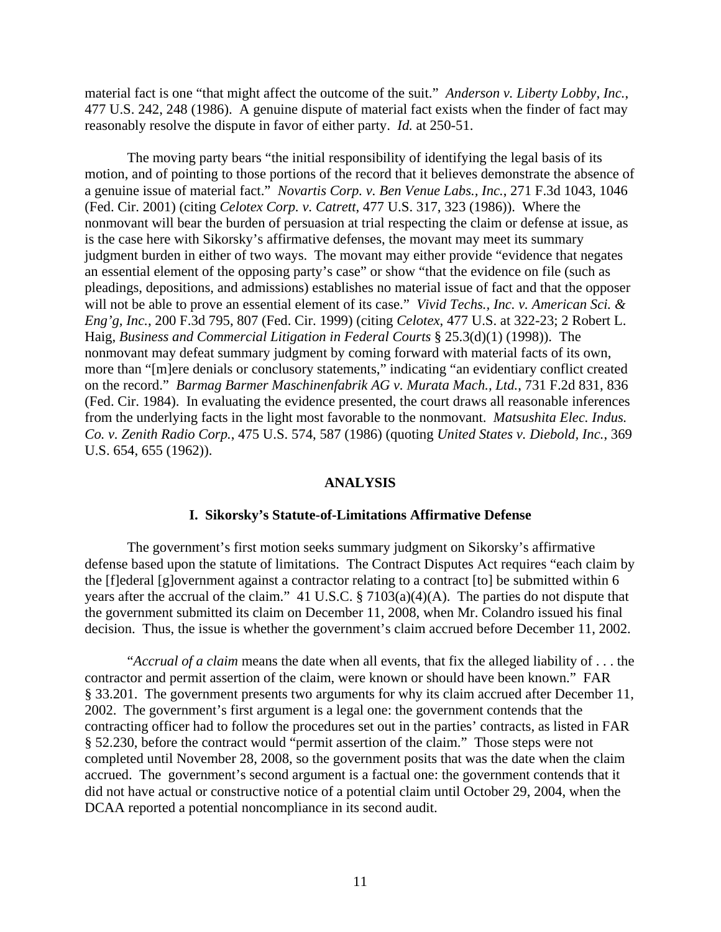material fact is one "that might affect the outcome of the suit." *Anderson v. Liberty Lobby, Inc.*, 477 U.S. 242, 248 (1986). A genuine dispute of material fact exists when the finder of fact may reasonably resolve the dispute in favor of either party. *Id.* at 250-51.

The moving party bears "the initial responsibility of identifying the legal basis of its motion, and of pointing to those portions of the record that it believes demonstrate the absence of a genuine issue of material fact." *Novartis Corp. v. Ben Venue Labs., Inc.*, 271 F.3d 1043, 1046 (Fed. Cir. 2001) (citing *Celotex Corp. v. Catrett*, 477 U.S. 317, 323 (1986)). Where the nonmovant will bear the burden of persuasion at trial respecting the claim or defense at issue, as is the case here with Sikorsky's affirmative defenses, the movant may meet its summary judgment burden in either of two ways. The movant may either provide "evidence that negates an essential element of the opposing party's case" or show "that the evidence on file (such as pleadings, depositions, and admissions) establishes no material issue of fact and that the opposer will not be able to prove an essential element of its case." *Vivid Techs., Inc. v. American Sci. & Eng'g, Inc.*, 200 F.3d 795, 807 (Fed. Cir. 1999) (citing *Celotex*, 477 U.S. at 322-23; 2 Robert L. Haig, *Business and Commercial Litigation in Federal Courts* § 25.3(d)(1) (1998)). The nonmovant may defeat summary judgment by coming forward with material facts of its own, more than "[m]ere denials or conclusory statements," indicating "an evidentiary conflict created on the record." *Barmag Barmer Maschinenfabrik AG v. Murata Mach., Ltd.*, 731 F.2d 831, 836 (Fed. Cir. 1984). In evaluating the evidence presented, the court draws all reasonable inferences from the underlying facts in the light most favorable to the nonmovant. *Matsushita Elec. Indus. Co. v. Zenith Radio Corp.*, 475 U.S. 574, 587 (1986) (quoting *United States v. Diebold, Inc.*, 369 U.S. 654, 655 (1962)).

#### **ANALYSIS**

#### **I. Sikorsky's Statute-of-Limitations Affirmative Defense**

 The government's first motion seeks summary judgment on Sikorsky's affirmative defense based upon the statute of limitations. The Contract Disputes Act requires "each claim by the [f]ederal [g]overnment against a contractor relating to a contract [to] be submitted within 6 years after the accrual of the claim." 41 U.S.C. § 7103(a)(4)(A). The parties do not dispute that the government submitted its claim on December 11, 2008, when Mr. Colandro issued his final decision. Thus, the issue is whether the government's claim accrued before December 11, 2002.

"*Accrual of a claim* means the date when all events, that fix the alleged liability of . . . the contractor and permit assertion of the claim, were known or should have been known." FAR § 33.201. The government presents two arguments for why its claim accrued after December 11, 2002. The government's first argument is a legal one: the government contends that the contracting officer had to follow the procedures set out in the parties' contracts, as listed in FAR § 52.230, before the contract would "permit assertion of the claim." Those steps were not completed until November 28, 2008, so the government posits that was the date when the claim accrued. The government's second argument is a factual one: the government contends that it did not have actual or constructive notice of a potential claim until October 29, 2004, when the DCAA reported a potential noncompliance in its second audit.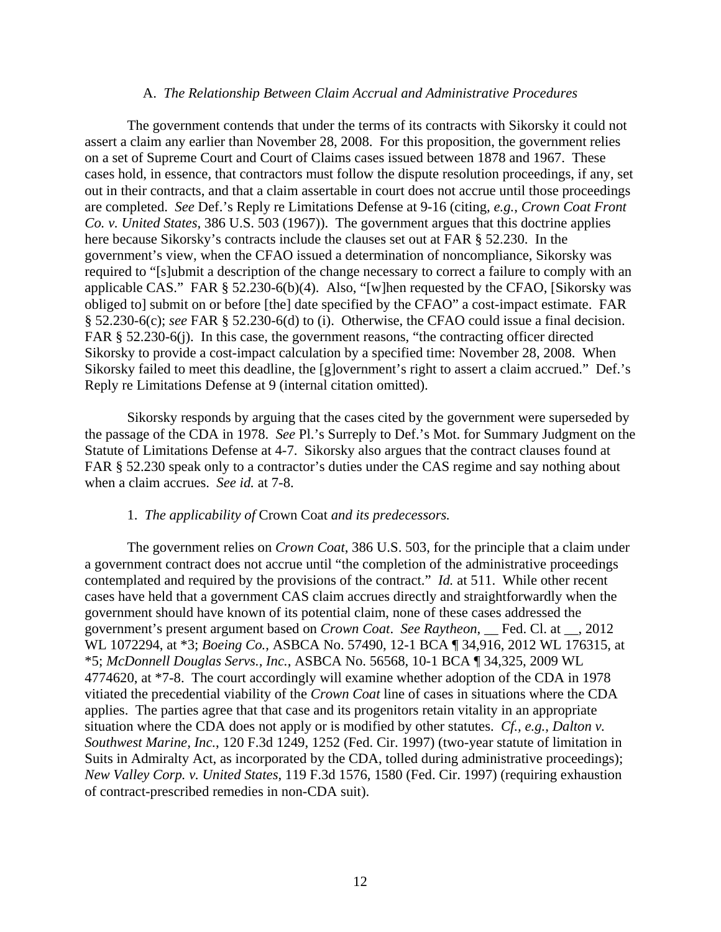#### A. *The Relationship Between Claim Accrual and Administrative Procedures*

 The government contends that under the terms of its contracts with Sikorsky it could not assert a claim any earlier than November 28, 2008. For this proposition, the government relies on a set of Supreme Court and Court of Claims cases issued between 1878 and 1967. These cases hold, in essence, that contractors must follow the dispute resolution proceedings, if any, set out in their contracts, and that a claim assertable in court does not accrue until those proceedings are completed. *See* Def.'s Reply re Limitations Defense at 9-16 (citing, *e.g.*, *Crown Coat Front Co. v. United States*, 386 U.S. 503 (1967)). The government argues that this doctrine applies here because Sikorsky's contracts include the clauses set out at FAR § 52.230. In the government's view, when the CFAO issued a determination of noncompliance, Sikorsky was required to "[s]ubmit a description of the change necessary to correct a failure to comply with an applicable CAS." FAR § 52.230-6(b)(4). Also, "[w]hen requested by the CFAO, [Sikorsky was obliged to] submit on or before [the] date specified by the CFAO" a cost-impact estimate. FAR § 52.230-6(c); *see* FAR § 52.230-6(d) to (i). Otherwise, the CFAO could issue a final decision. FAR § 52.230-6(j). In this case, the government reasons, "the contracting officer directed Sikorsky to provide a cost-impact calculation by a specified time: November 28, 2008. When Sikorsky failed to meet this deadline, the [g]overnment's right to assert a claim accrued." Def.'s Reply re Limitations Defense at 9 (internal citation omitted).

Sikorsky responds by arguing that the cases cited by the government were superseded by the passage of the CDA in 1978. *See* Pl.'s Surreply to Def.'s Mot. for Summary Judgment on the Statute of Limitations Defense at 4-7. Sikorsky also argues that the contract clauses found at FAR § 52.230 speak only to a contractor's duties under the CAS regime and say nothing about when a claim accrues. *See id.* at 7-8.

#### 1. *The applicability of* Crown Coat *and its predecessors.*

The government relies on *Crown Coat*, 386 U.S. 503, for the principle that a claim under a government contract does not accrue until "the completion of the administrative proceedings contemplated and required by the provisions of the contract." *Id.* at 511. While other recent cases have held that a government CAS claim accrues directly and straightforwardly when the government should have known of its potential claim, none of these cases addressed the government's present argument based on *Crown Coat*. *See Raytheon*, \_\_ Fed. Cl. at \_\_, 2012 WL 1072294, at \*3; *Boeing Co.*, ASBCA No. 57490, 12-1 BCA ¶ 34,916, 2012 WL 176315, at \*5; *McDonnell Douglas Servs., Inc.*, ASBCA No. 56568, 10-1 BCA ¶ 34,325, 2009 WL 4774620, at \*7-8. The court accordingly will examine whether adoption of the CDA in 1978 vitiated the precedential viability of the *Crown Coat* line of cases in situations where the CDA applies. The parties agree that that case and its progenitors retain vitality in an appropriate situation where the CDA does not apply or is modified by other statutes. *Cf., e.g.*, *Dalton v. Southwest Marine, Inc.*, 120 F.3d 1249, 1252 (Fed. Cir. 1997) (two-year statute of limitation in Suits in Admiralty Act, as incorporated by the CDA, tolled during administrative proceedings); *New Valley Corp. v. United States*, 119 F.3d 1576, 1580 (Fed. Cir. 1997) (requiring exhaustion of contract-prescribed remedies in non-CDA suit).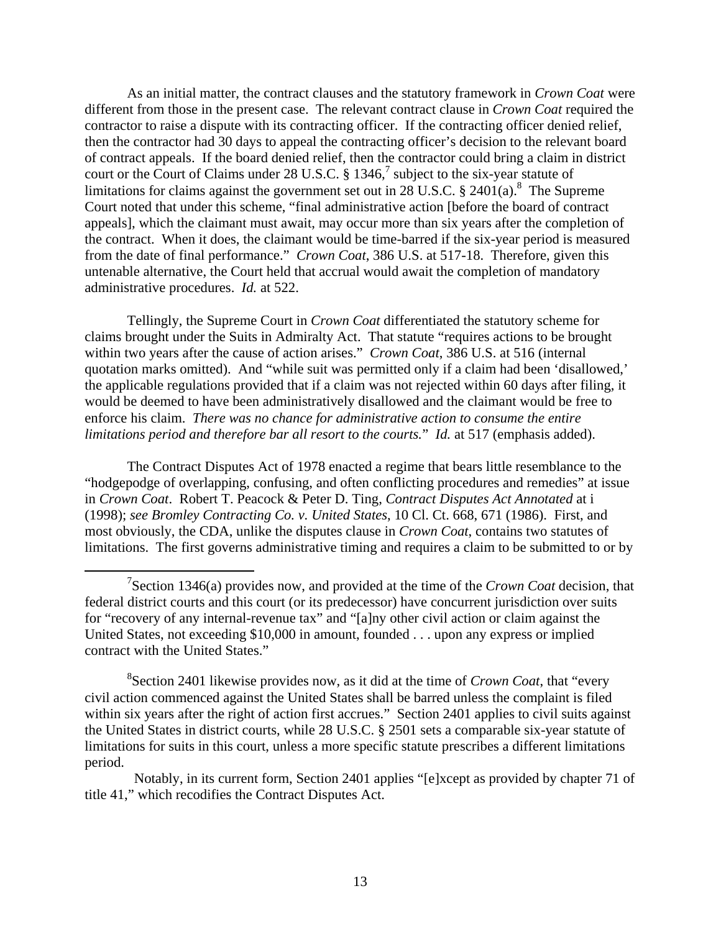As an initial matter, the contract clauses and the statutory framework in *Crown Coat* were different from those in the present case. The relevant contract clause in *Crown Coat* required the contractor to raise a dispute with its contracting officer. If the contracting officer denied relief, then the contractor had 30 days to appeal the contracting officer's decision to the relevant board of contract appeals. If the board denied relief, then the contractor could bring a claim in district court or the Court of Claims under 28 U.S.C.  $\S 1346$ , subject to the six-year statute of limitations for claims against the government set out in 28 U.S.C. § 2401(a).<sup>8</sup> The Supreme Court noted that under this scheme, "final administrative action [before the board of contract appeals], which the claimant must await, may occur more than six years after the completion of the contract. When it does, the claimant would be time-barred if the six-year period is measured from the date of final performance." *Crown Coat*, 386 U.S. at 517-18. Therefore, given this untenable alternative, the Court held that accrual would await the completion of mandatory administrative procedures. *Id.* at 522.

Tellingly, the Supreme Court in *Crown Coat* differentiated the statutory scheme for claims brought under the Suits in Admiralty Act. That statute "requires actions to be brought within two years after the cause of action arises." *Crown Coat*, 386 U.S. at 516 (internal quotation marks omitted). And "while suit was permitted only if a claim had been 'disallowed,' the applicable regulations provided that if a claim was not rejected within 60 days after filing, it would be deemed to have been administratively disallowed and the claimant would be free to enforce his claim. *There was no chance for administrative action to consume the entire limitations period and therefore bar all resort to the courts.*" *Id.* at 517 (emphasis added).

The Contract Disputes Act of 1978 enacted a regime that bears little resemblance to the "hodgepodge of overlapping, confusing, and often conflicting procedures and remedies" at issue in *Crown Coat*. Robert T. Peacock & Peter D. Ting, *Contract Disputes Act Annotated* at i (1998); *see Bromley Contracting Co. v. United States*, 10 Cl. Ct. 668, 671 (1986). First, and most obviously, the CDA, unlike the disputes clause in *Crown Coat*, contains two statutes of limitations. The first governs administrative timing and requires a claim to be submitted to or by

 Notably, in its current form, Section 2401 applies "[e]xcept as provided by chapter 71 of title 41," which recodifies the Contract Disputes Act.

 <sup>7</sup> Section 1346(a) provides now, and provided at the time of the *Crown Coat* decision, that federal district courts and this court (or its predecessor) have concurrent jurisdiction over suits for "recovery of any internal-revenue tax" and "[a]ny other civil action or claim against the United States, not exceeding \$10,000 in amount, founded . . . upon any express or implied contract with the United States."

<sup>8</sup> Section 2401 likewise provides now, as it did at the time of *Crown Coat*, that "every civil action commenced against the United States shall be barred unless the complaint is filed within six years after the right of action first accrues." Section 2401 applies to civil suits against the United States in district courts, while 28 U.S.C. § 2501 sets a comparable six-year statute of limitations for suits in this court, unless a more specific statute prescribes a different limitations period.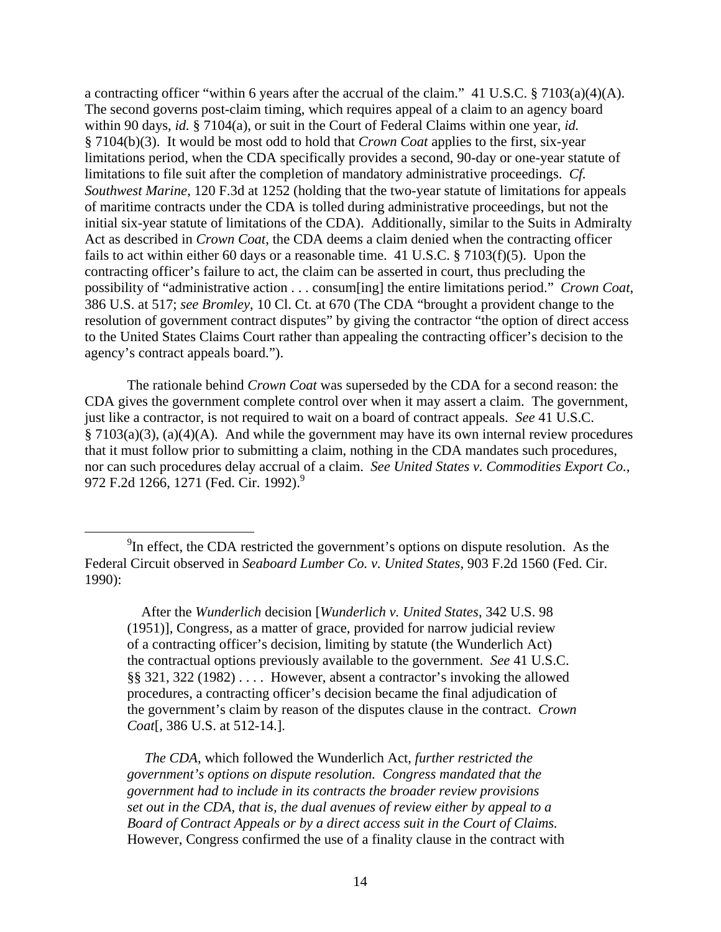a contracting officer "within 6 years after the accrual of the claim." 41 U.S.C. § 7103(a)(4)(A). The second governs post-claim timing, which requires appeal of a claim to an agency board within 90 days, *id.* § 7104(a), or suit in the Court of Federal Claims within one year, *id.* § 7104(b)(3). It would be most odd to hold that *Crown Coat* applies to the first, six-year limitations period, when the CDA specifically provides a second, 90-day or one-year statute of limitations to file suit after the completion of mandatory administrative proceedings. *Cf. Southwest Marine*, 120 F.3d at 1252 (holding that the two-year statute of limitations for appeals of maritime contracts under the CDA is tolled during administrative proceedings, but not the initial six-year statute of limitations of the CDA). Additionally, similar to the Suits in Admiralty Act as described in *Crown Coat*, the CDA deems a claim denied when the contracting officer fails to act within either 60 days or a reasonable time. 41 U.S.C. § 7103(f)(5). Upon the contracting officer's failure to act, the claim can be asserted in court, thus precluding the possibility of "administrative action . . . consum[ing] the entire limitations period." *Crown Coat*, 386 U.S. at 517; *see Bromley*, 10 Cl. Ct. at 670 (The CDA "brought a provident change to the resolution of government contract disputes" by giving the contractor "the option of direct access to the United States Claims Court rather than appealing the contracting officer's decision to the agency's contract appeals board.").

The rationale behind *Crown Coat* was superseded by the CDA for a second reason: the CDA gives the government complete control over when it may assert a claim. The government, just like a contractor, is not required to wait on a board of contract appeals. *See* 41 U.S.C. § 7103(a)(3), (a)(4)(A). And while the government may have its own internal review procedures that it must follow prior to submitting a claim, nothing in the CDA mandates such procedures, nor can such procedures delay accrual of a claim. *See United States v. Commodities Export Co.*, 972 F.2d 1266, 1271 (Fed. Cir. 1992).<sup>9</sup>

 After the *Wunderlich* decision [*Wunderlich v. United States*, 342 U.S. 98 (1951)], Congress, as a matter of grace, provided for narrow judicial review of a contracting officer's decision, limiting by statute (the Wunderlich Act) the contractual options previously available to the government. *See* 41 U.S.C. §§ 321, 322 (1982) . . . . However, absent a contractor's invoking the allowed procedures, a contracting officer's decision became the final adjudication of the government's claim by reason of the disputes clause in the contract. *Crown Coat*[, 386 U.S. at 512-14.].

 *The CDA*, which followed the Wunderlich Act, *further restricted the government's options on dispute resolution. Congress mandated that the government had to include in its contracts the broader review provisions set out in the CDA, that is, the dual avenues of review either by appeal to a Board of Contract Appeals or by a direct access suit in the Court of Claims.*  However, Congress confirmed the use of a finality clause in the contract with

 $\frac{1}{9}$  $<sup>9</sup>$ In effect, the CDA restricted the government's options on dispute resolution. As the</sup> Federal Circuit observed in *Seaboard Lumber Co. v. United States*, 903 F.2d 1560 (Fed. Cir. 1990):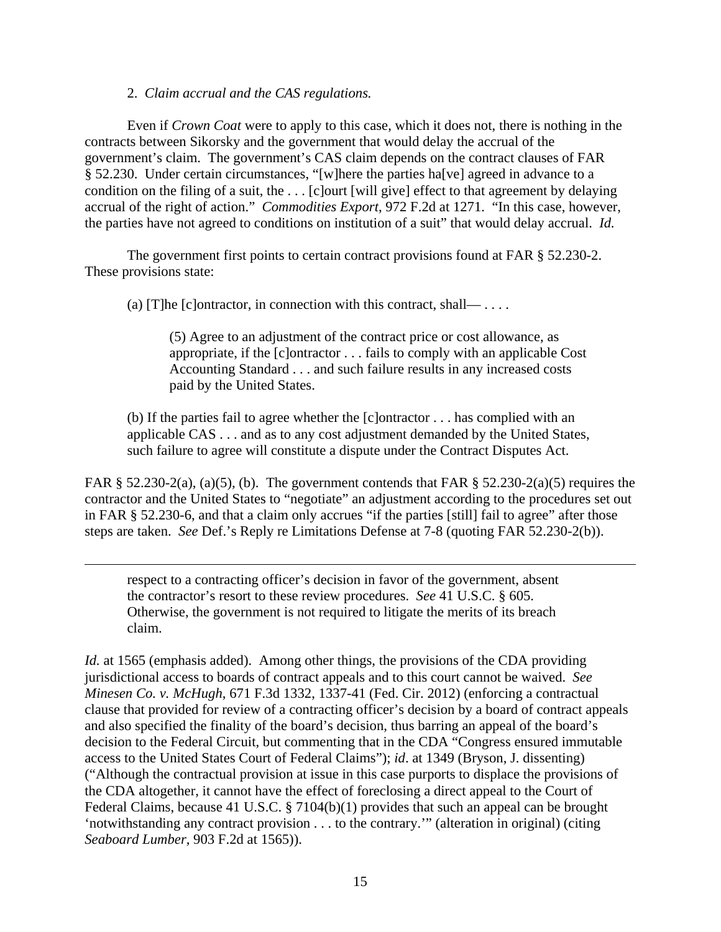# 2. *Claim accrual and the CAS regulations.*

 $\overline{a}$ 

Even if *Crown Coat* were to apply to this case, which it does not, there is nothing in the contracts between Sikorsky and the government that would delay the accrual of the government's claim. The government's CAS claim depends on the contract clauses of FAR § 52.230. Under certain circumstances, "[w]here the parties ha[ve] agreed in advance to a condition on the filing of a suit, the . . . [c]ourt [will give] effect to that agreement by delaying accrual of the right of action." *Commodities Export*, 972 F.2d at 1271. "In this case, however, the parties have not agreed to conditions on institution of a suit" that would delay accrual. *Id.* 

The government first points to certain contract provisions found at FAR § 52.230-2. These provisions state:

(a) [T]he [c]ontractor, in connection with this contract, shall— $\ldots$ .

(5) Agree to an adjustment of the contract price or cost allowance, as appropriate, if the [c]ontractor . . . fails to comply with an applicable Cost Accounting Standard . . . and such failure results in any increased costs paid by the United States.

(b) If the parties fail to agree whether the [c]ontractor . . . has complied with an applicable CAS . . . and as to any cost adjustment demanded by the United States, such failure to agree will constitute a dispute under the Contract Disputes Act.

FAR  $\S$  52.230-2(a), (a)(5), (b). The government contends that FAR  $\S$  52.230-2(a)(5) requires the contractor and the United States to "negotiate" an adjustment according to the procedures set out in FAR § 52.230-6, and that a claim only accrues "if the parties [still] fail to agree" after those steps are taken. *See* Def.'s Reply re Limitations Defense at 7-8 (quoting FAR 52.230-2(b)).

respect to a contracting officer's decision in favor of the government, absent the contractor's resort to these review procedures. *See* 41 U.S.C. § 605. Otherwise, the government is not required to litigate the merits of its breach claim.

*Id.* at 1565 (emphasis added). Among other things, the provisions of the CDA providing jurisdictional access to boards of contract appeals and to this court cannot be waived. *See Minesen Co. v. McHugh*, 671 F.3d 1332, 1337-41 (Fed. Cir. 2012) (enforcing a contractual clause that provided for review of a contracting officer's decision by a board of contract appeals and also specified the finality of the board's decision, thus barring an appeal of the board's decision to the Federal Circuit, but commenting that in the CDA "Congress ensured immutable access to the United States Court of Federal Claims"); *id*. at 1349 (Bryson, J. dissenting) ("Although the contractual provision at issue in this case purports to displace the provisions of the CDA altogether, it cannot have the effect of foreclosing a direct appeal to the Court of Federal Claims, because 41 U.S.C. § 7104(b)(1) provides that such an appeal can be brought 'notwithstanding any contract provision . . . to the contrary.'" (alteration in original) (citing *Seaboard Lumber*, 903 F.2d at 1565)).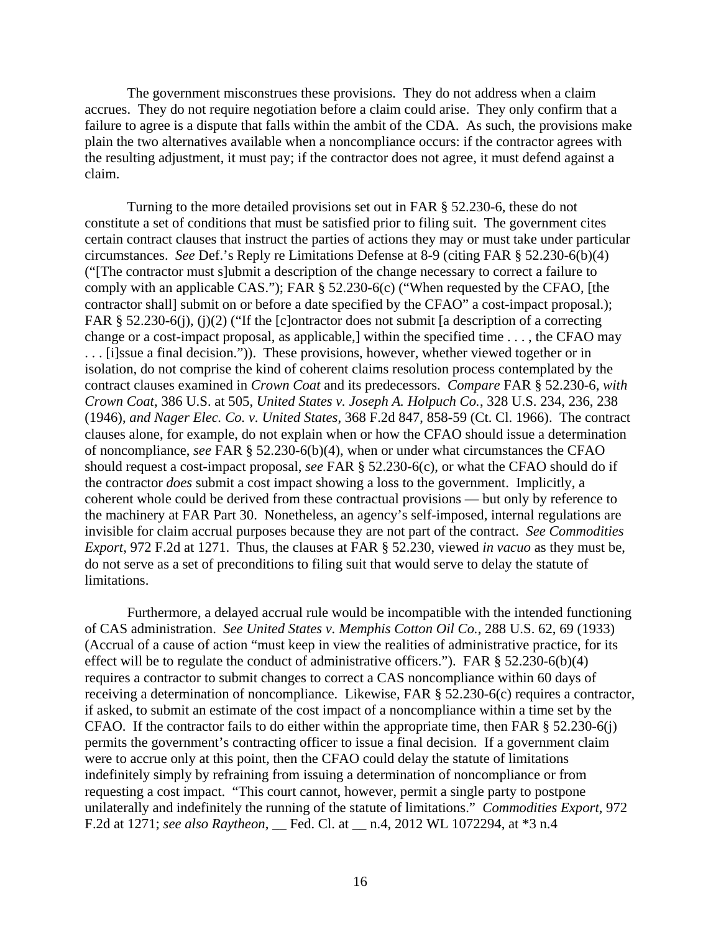The government misconstrues these provisions. They do not address when a claim accrues. They do not require negotiation before a claim could arise. They only confirm that a failure to agree is a dispute that falls within the ambit of the CDA. As such, the provisions make plain the two alternatives available when a noncompliance occurs: if the contractor agrees with the resulting adjustment, it must pay; if the contractor does not agree, it must defend against a claim.

Turning to the more detailed provisions set out in FAR § 52.230-6, these do not constitute a set of conditions that must be satisfied prior to filing suit. The government cites certain contract clauses that instruct the parties of actions they may or must take under particular circumstances. *See* Def.'s Reply re Limitations Defense at 8-9 (citing FAR § 52.230-6(b)(4) ("[The contractor must s]ubmit a description of the change necessary to correct a failure to comply with an applicable CAS."); FAR § 52.230-6(c) ("When requested by the CFAO, [the contractor shall] submit on or before a date specified by the CFAO" a cost-impact proposal.); FAR § 52.230-6(j), (j)(2) ("If the [c]ontractor does not submit [a description of a correcting change or a cost-impact proposal, as applicable,] within the specified time . . . , the CFAO may . . . [i]ssue a final decision.")). These provisions, however, whether viewed together or in isolation, do not comprise the kind of coherent claims resolution process contemplated by the contract clauses examined in *Crown Coat* and its predecessors. *Compare* FAR § 52.230-6, *with Crown Coat*, 386 U.S. at 505, *United States v. Joseph A. Holpuch Co.*, 328 U.S. 234, 236, 238 (1946), *and Nager Elec. Co. v. United States*, 368 F.2d 847, 858-59 (Ct. Cl. 1966). The contract clauses alone, for example, do not explain when or how the CFAO should issue a determination of noncompliance, *see* FAR § 52.230-6(b)(4), when or under what circumstances the CFAO should request a cost-impact proposal, *see* FAR § 52.230-6(c), or what the CFAO should do if the contractor *does* submit a cost impact showing a loss to the government. Implicitly, a coherent whole could be derived from these contractual provisions — but only by reference to the machinery at FAR Part 30. Nonetheless, an agency's self-imposed, internal regulations are invisible for claim accrual purposes because they are not part of the contract. *See Commodities Export*, 972 F.2d at 1271. Thus, the clauses at FAR § 52.230, viewed *in vacuo* as they must be, do not serve as a set of preconditions to filing suit that would serve to delay the statute of limitations.

Furthermore, a delayed accrual rule would be incompatible with the intended functioning of CAS administration. *See United States v. Memphis Cotton Oil Co.*, 288 U.S. 62, 69 (1933) (Accrual of a cause of action "must keep in view the realities of administrative practice, for its effect will be to regulate the conduct of administrative officers."). FAR § 52.230-6(b)(4) requires a contractor to submit changes to correct a CAS noncompliance within 60 days of receiving a determination of noncompliance. Likewise, FAR § 52.230-6(c) requires a contractor, if asked, to submit an estimate of the cost impact of a noncompliance within a time set by the CFAO. If the contractor fails to do either within the appropriate time, then FAR § 52.230-6(j) permits the government's contracting officer to issue a final decision. If a government claim were to accrue only at this point, then the CFAO could delay the statute of limitations indefinitely simply by refraining from issuing a determination of noncompliance or from requesting a cost impact. "This court cannot, however, permit a single party to postpone unilaterally and indefinitely the running of the statute of limitations." *Commodities Export*, 972 F.2d at 1271; *see also Raytheon*, \_\_ Fed. Cl. at \_\_ n.4, 2012 WL 1072294, at \*3 n.4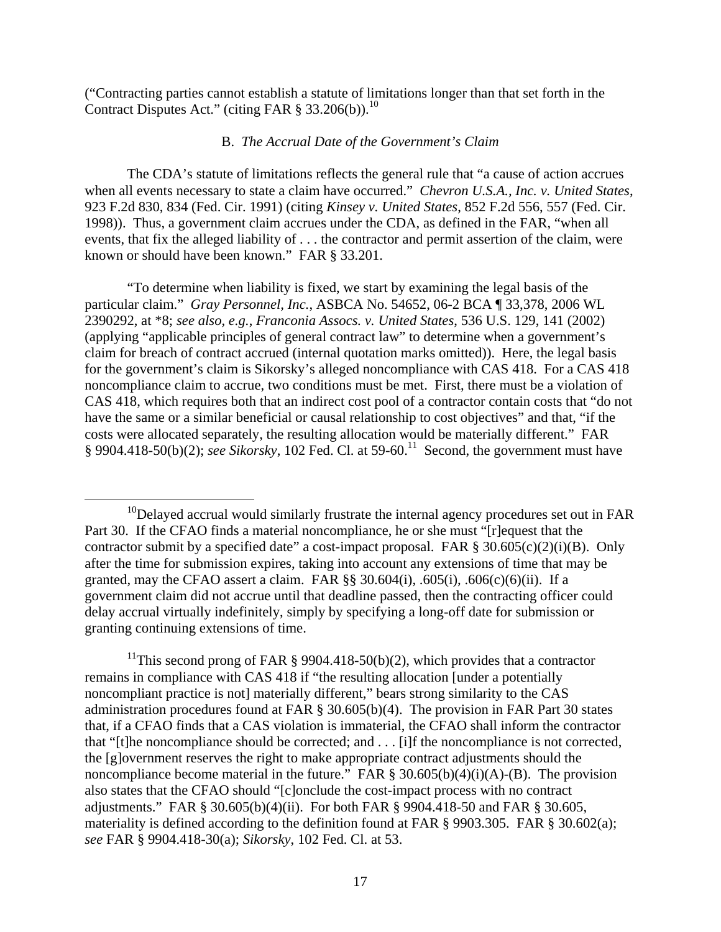("Contracting parties cannot establish a statute of limitations longer than that set forth in the Contract Disputes Act." (citing FAR  $\S 33.206(b)$ ).<sup>10</sup>

# B. *The Accrual Date of the Government's Claim*

The CDA's statute of limitations reflects the general rule that "a cause of action accrues when all events necessary to state a claim have occurred." *Chevron U.S.A., Inc. v. United States*, 923 F.2d 830, 834 (Fed. Cir. 1991) (citing *Kinsey v. United States*, 852 F.2d 556, 557 (Fed. Cir. 1998)). Thus, a government claim accrues under the CDA, as defined in the FAR, "when all events, that fix the alleged liability of . . . the contractor and permit assertion of the claim, were known or should have been known." FAR § 33.201.

"To determine when liability is fixed, we start by examining the legal basis of the particular claim." *Gray Personnel, Inc.*, ASBCA No. 54652, 06-2 BCA ¶ 33,378, 2006 WL 2390292, at \*8; *see also*, *e.g.*, *Franconia Assocs. v. United States*, 536 U.S. 129, 141 (2002) (applying "applicable principles of general contract law" to determine when a government's claim for breach of contract accrued (internal quotation marks omitted)). Here, the legal basis for the government's claim is Sikorsky's alleged noncompliance with CAS 418. For a CAS 418 noncompliance claim to accrue, two conditions must be met. First, there must be a violation of CAS 418, which requires both that an indirect cost pool of a contractor contain costs that "do not have the same or a similar beneficial or causal relationship to cost objectives" and that, "if the costs were allocated separately, the resulting allocation would be materially different." FAR  $\S$  9904.418-50(b)(2); *see Sikorsky*, 102 Fed. Cl. at 59-60.<sup>11</sup> Second, the government must have

<sup>11</sup>This second prong of FAR § 9904.418-50(b)(2), which provides that a contractor remains in compliance with CAS 418 if "the resulting allocation [under a potentially noncompliant practice is not] materially different," bears strong similarity to the CAS administration procedures found at FAR § 30.605(b)(4). The provision in FAR Part 30 states that, if a CFAO finds that a CAS violation is immaterial, the CFAO shall inform the contractor that "[t]he noncompliance should be corrected; and . . . [i]f the noncompliance is not corrected, the [g]overnment reserves the right to make appropriate contract adjustments should the noncompliance become material in the future." FAR  $\S 30.605(b)(4)(i)(A)$ -(B). The provision also states that the CFAO should "[c]onclude the cost-impact process with no contract adjustments." FAR § 30.605(b)(4)(ii). For both FAR § 9904.418-50 and FAR § 30.605, materiality is defined according to the definition found at FAR § 9903.305. FAR § 30.602(a); *see* FAR § 9904.418-30(a); *Sikorsky*, 102 Fed. Cl. at 53.

 $10$ Delayed accrual would similarly frustrate the internal agency procedures set out in FAR Part 30. If the CFAO finds a material noncompliance, he or she must "[r]equest that the contractor submit by a specified date" a cost-impact proposal. FAR  $\S 30.605(c)(2)(i)(B)$ . Only after the time for submission expires, taking into account any extensions of time that may be granted, may the CFAO assert a claim. FAR  $\S$ § 30.604(i), .605(i), .606(c)(6)(ii). If a government claim did not accrue until that deadline passed, then the contracting officer could delay accrual virtually indefinitely, simply by specifying a long-off date for submission or granting continuing extensions of time.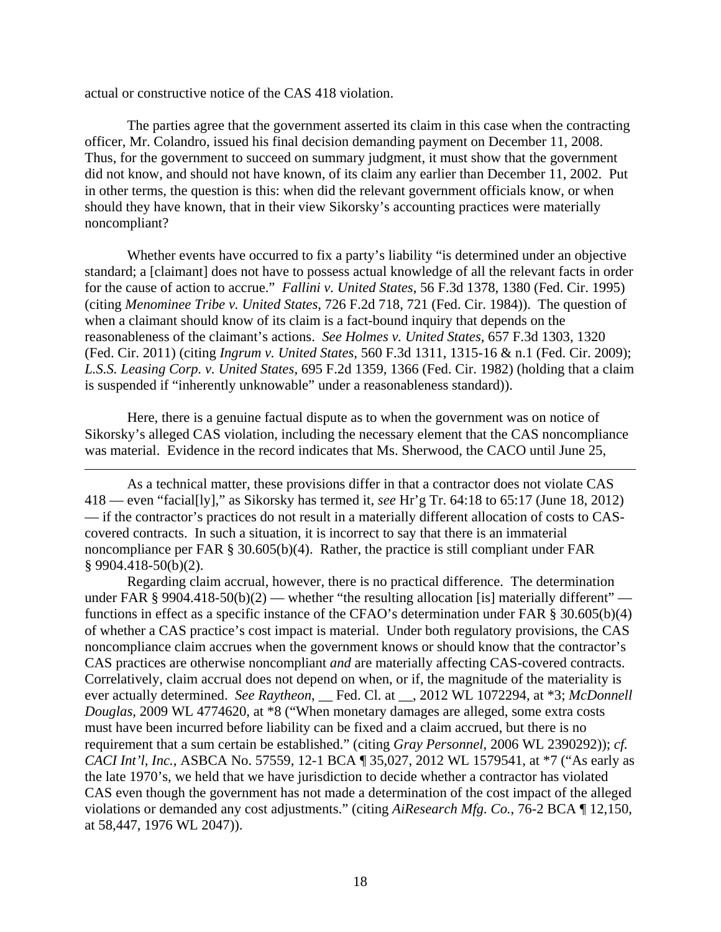actual or constructive notice of the CAS 418 violation.

 $\overline{a}$ 

The parties agree that the government asserted its claim in this case when the contracting officer, Mr. Colandro, issued his final decision demanding payment on December 11, 2008. Thus, for the government to succeed on summary judgment, it must show that the government did not know, and should not have known, of its claim any earlier than December 11, 2002. Put in other terms, the question is this: when did the relevant government officials know, or when should they have known, that in their view Sikorsky's accounting practices were materially noncompliant?

Whether events have occurred to fix a party's liability "is determined under an objective standard; a [claimant] does not have to possess actual knowledge of all the relevant facts in order for the cause of action to accrue." *Fallini v. United States*, 56 F.3d 1378, 1380 (Fed. Cir. 1995) (citing *Menominee Tribe v. United States*, 726 F.2d 718, 721 (Fed. Cir. 1984)). The question of when a claimant should know of its claim is a fact-bound inquiry that depends on the reasonableness of the claimant's actions. *See Holmes v. United States*, 657 F.3d 1303, 1320 (Fed. Cir. 2011) (citing *Ingrum v. United States*, 560 F.3d 1311, 1315-16 & n.1 (Fed. Cir. 2009); *L.S.S. Leasing Corp. v. United States*, 695 F.2d 1359, 1366 (Fed. Cir. 1982) (holding that a claim is suspended if "inherently unknowable" under a reasonableness standard)).

Here, there is a genuine factual dispute as to when the government was on notice of Sikorsky's alleged CAS violation, including the necessary element that the CAS noncompliance was material. Evidence in the record indicates that Ms. Sherwood, the CACO until June 25,

As a technical matter, these provisions differ in that a contractor does not violate CAS 418 — even "facial[ly]," as Sikorsky has termed it, *see* Hr'g Tr. 64:18 to 65:17 (June 18, 2012) — if the contractor's practices do not result in a materially different allocation of costs to CAScovered contracts. In such a situation, it is incorrect to say that there is an immaterial noncompliance per FAR  $\S 30.605(b)(4)$ . Rather, the practice is still compliant under FAR § 9904.418-50(b)(2).

Regarding claim accrual, however, there is no practical difference. The determination under FAR § 9904.418-50(b)(2) — whether "the resulting allocation [is] materially different" functions in effect as a specific instance of the CFAO's determination under FAR § 30.605(b)(4) of whether a CAS practice's cost impact is material. Under both regulatory provisions, the CAS noncompliance claim accrues when the government knows or should know that the contractor's CAS practices are otherwise noncompliant *and* are materially affecting CAS-covered contracts. Correlatively, claim accrual does not depend on when, or if, the magnitude of the materiality is ever actually determined. *See Raytheon*, Fed. Cl. at <sub>1</sub>, 2012 WL 1072294, at \*3; *McDonnell Douglas*, 2009 WL 4774620, at \*8 ("When monetary damages are alleged, some extra costs must have been incurred before liability can be fixed and a claim accrued, but there is no requirement that a sum certain be established." (citing *Gray Personnel*, 2006 WL 2390292)); *cf. CACI Int'l, Inc.*, ASBCA No. 57559, 12-1 BCA ¶ 35,027, 2012 WL 1579541, at \*7 ("As early as the late 1970's, we held that we have jurisdiction to decide whether a contractor has violated CAS even though the government has not made a determination of the cost impact of the alleged violations or demanded any cost adjustments." (citing *AiResearch Mfg. Co.*, 76-2 BCA ¶ 12,150, at 58,447, 1976 WL 2047)).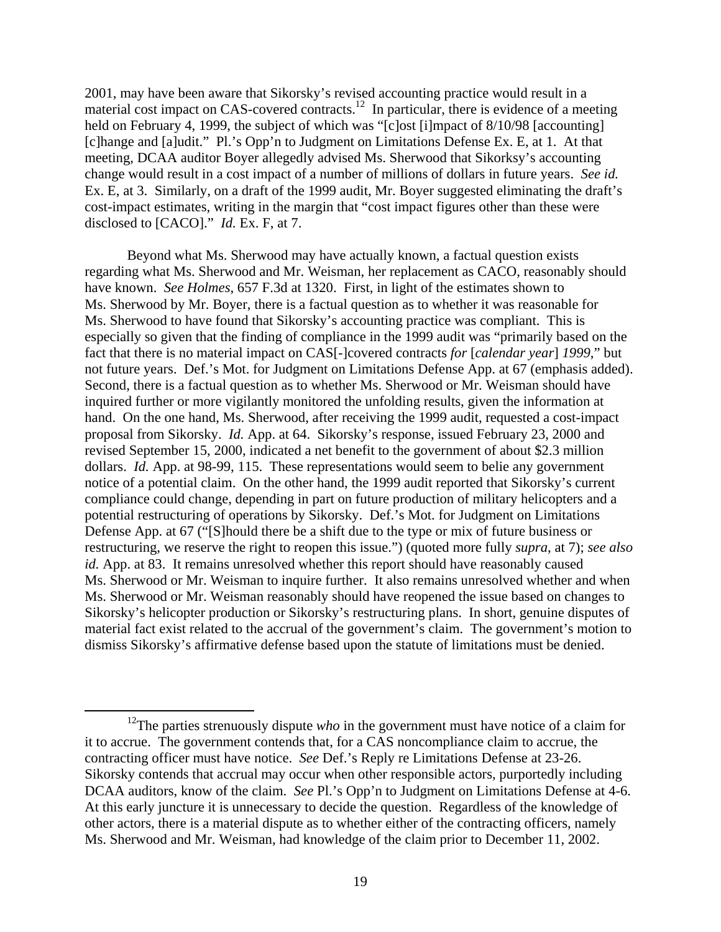2001, may have been aware that Sikorsky's revised accounting practice would result in a material cost impact on CAS-covered contracts.<sup>12</sup> In particular, there is evidence of a meeting held on February 4, 1999, the subject of which was "[c]ost [i]mpact of 8/10/98 [accounting] [c]hange and [a]udit." Pl.'s Opp'n to Judgment on Limitations Defense Ex. E, at 1. At that meeting, DCAA auditor Boyer allegedly advised Ms. Sherwood that Sikorksy's accounting change would result in a cost impact of a number of millions of dollars in future years. *See id.* Ex. E, at 3. Similarly, on a draft of the 1999 audit, Mr. Boyer suggested eliminating the draft's cost-impact estimates, writing in the margin that "cost impact figures other than these were disclosed to [CACO]." *Id.* Ex. F, at 7.

 Beyond what Ms. Sherwood may have actually known, a factual question exists regarding what Ms. Sherwood and Mr. Weisman, her replacement as CACO, reasonably should have known. *See Holmes*, 657 F.3d at 1320. First, in light of the estimates shown to Ms. Sherwood by Mr. Boyer, there is a factual question as to whether it was reasonable for Ms. Sherwood to have found that Sikorsky's accounting practice was compliant. This is especially so given that the finding of compliance in the 1999 audit was "primarily based on the fact that there is no material impact on CAS[-]covered contracts *for* [*calendar year*] *1999*," but not future years. Def.'s Mot. for Judgment on Limitations Defense App. at 67 (emphasis added). Second, there is a factual question as to whether Ms. Sherwood or Mr. Weisman should have inquired further or more vigilantly monitored the unfolding results, given the information at hand. On the one hand, Ms. Sherwood, after receiving the 1999 audit, requested a cost-impact proposal from Sikorsky. *Id.* App. at 64. Sikorsky's response, issued February 23, 2000 and revised September 15, 2000, indicated a net benefit to the government of about \$2.3 million dollars. *Id.* App. at 98-99, 115. These representations would seem to belie any government notice of a potential claim. On the other hand, the 1999 audit reported that Sikorsky's current compliance could change, depending in part on future production of military helicopters and a potential restructuring of operations by Sikorsky. Def.'s Mot. for Judgment on Limitations Defense App. at 67 ("[S]hould there be a shift due to the type or mix of future business or restructuring, we reserve the right to reopen this issue.") (quoted more fully *supra*, at 7); *see also id.* App. at 83. It remains unresolved whether this report should have reasonably caused Ms. Sherwood or Mr. Weisman to inquire further. It also remains unresolved whether and when Ms. Sherwood or Mr. Weisman reasonably should have reopened the issue based on changes to Sikorsky's helicopter production or Sikorsky's restructuring plans. In short, genuine disputes of material fact exist related to the accrual of the government's claim. The government's motion to dismiss Sikorsky's affirmative defense based upon the statute of limitations must be denied.

<sup>&</sup>lt;sup>12</sup>The parties strenuously dispute *who* in the government must have notice of a claim for it to accrue. The government contends that, for a CAS noncompliance claim to accrue, the contracting officer must have notice. *See* Def.'s Reply re Limitations Defense at 23-26. Sikorsky contends that accrual may occur when other responsible actors, purportedly including DCAA auditors, know of the claim. *See* Pl.'s Opp'n to Judgment on Limitations Defense at 4-6. At this early juncture it is unnecessary to decide the question. Regardless of the knowledge of other actors, there is a material dispute as to whether either of the contracting officers, namely Ms. Sherwood and Mr. Weisman, had knowledge of the claim prior to December 11, 2002.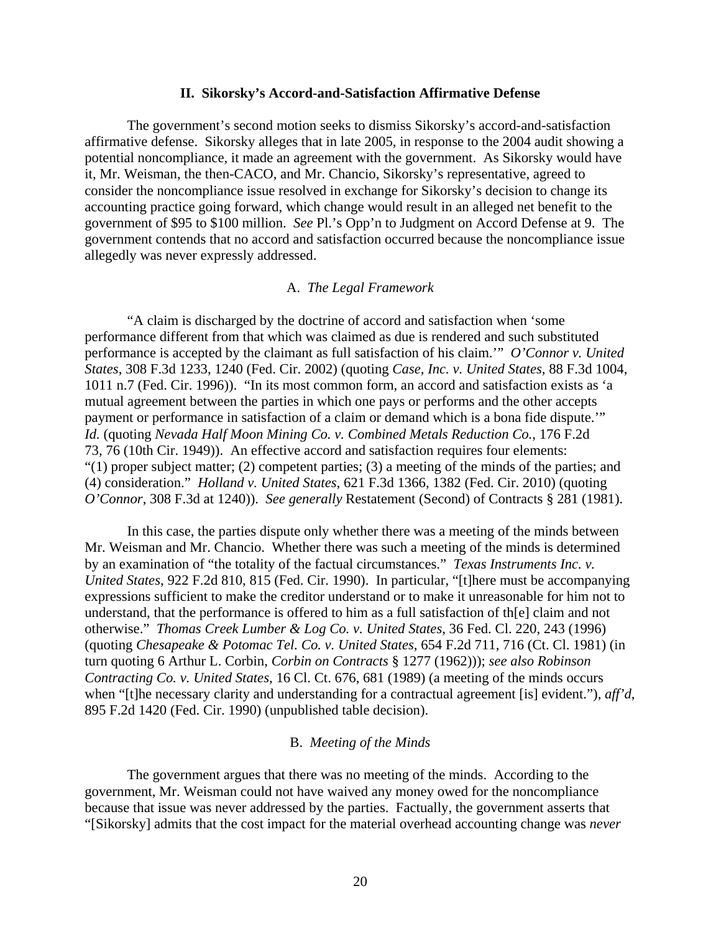#### **II. Sikorsky's Accord-and-Satisfaction Affirmative Defense**

 The government's second motion seeks to dismiss Sikorsky's accord-and-satisfaction affirmative defense. Sikorsky alleges that in late 2005, in response to the 2004 audit showing a potential noncompliance, it made an agreement with the government. As Sikorsky would have it, Mr. Weisman, the then-CACO, and Mr. Chancio, Sikorsky's representative, agreed to consider the noncompliance issue resolved in exchange for Sikorsky's decision to change its accounting practice going forward, which change would result in an alleged net benefit to the government of \$95 to \$100 million. *See* Pl.'s Opp'n to Judgment on Accord Defense at 9. The government contends that no accord and satisfaction occurred because the noncompliance issue allegedly was never expressly addressed.

## A. *The Legal Framework*

 "A claim is discharged by the doctrine of accord and satisfaction when 'some performance different from that which was claimed as due is rendered and such substituted performance is accepted by the claimant as full satisfaction of his claim.'" *O'Connor v. United States*, 308 F.3d 1233, 1240 (Fed. Cir. 2002) (quoting *Case, Inc. v. United States*, 88 F.3d 1004, 1011 n.7 (Fed. Cir. 1996)). "In its most common form, an accord and satisfaction exists as 'a mutual agreement between the parties in which one pays or performs and the other accepts payment or performance in satisfaction of a claim or demand which is a bona fide dispute.'" *Id.* (quoting *Nevada Half Moon Mining Co. v. Combined Metals Reduction Co.*, 176 F.2d 73, 76 (10th Cir. 1949)). An effective accord and satisfaction requires four elements: " $(1)$  proper subject matter;  $(2)$  competent parties;  $(3)$  a meeting of the minds of the parties; and (4) consideration." *Holland v. United States*, 621 F.3d 1366, 1382 (Fed. Cir. 2010) (quoting *O'Connor*, 308 F.3d at 1240)). *See generally* Restatement (Second) of Contracts § 281 (1981).

 In this case, the parties dispute only whether there was a meeting of the minds between Mr. Weisman and Mr. Chancio. Whether there was such a meeting of the minds is determined by an examination of "the totality of the factual circumstances." *Texas Instruments Inc. v. United States*, 922 F.2d 810, 815 (Fed. Cir. 1990). In particular, "[t]here must be accompanying expressions sufficient to make the creditor understand or to make it unreasonable for him not to understand, that the performance is offered to him as a full satisfaction of th[e] claim and not otherwise." *Thomas Creek Lumber & Log Co. v. United States*, 36 Fed. Cl. 220, 243 (1996) (quoting *Chesapeake & Potomac Tel. Co. v. United States*, 654 F.2d 711, 716 (Ct. Cl. 1981) (in turn quoting 6 Arthur L. Corbin, *Corbin on Contracts* § 1277 (1962))); *see also Robinson Contracting Co. v. United States*, 16 Cl. Ct. 676, 681 (1989) (a meeting of the minds occurs when "[t]he necessary clarity and understanding for a contractual agreement [is] evident."), *aff'd*, 895 F.2d 1420 (Fed. Cir. 1990) (unpublished table decision).

#### B. *Meeting of the Minds*

 The government argues that there was no meeting of the minds. According to the government, Mr. Weisman could not have waived any money owed for the noncompliance because that issue was never addressed by the parties. Factually, the government asserts that "[Sikorsky] admits that the cost impact for the material overhead accounting change was *never*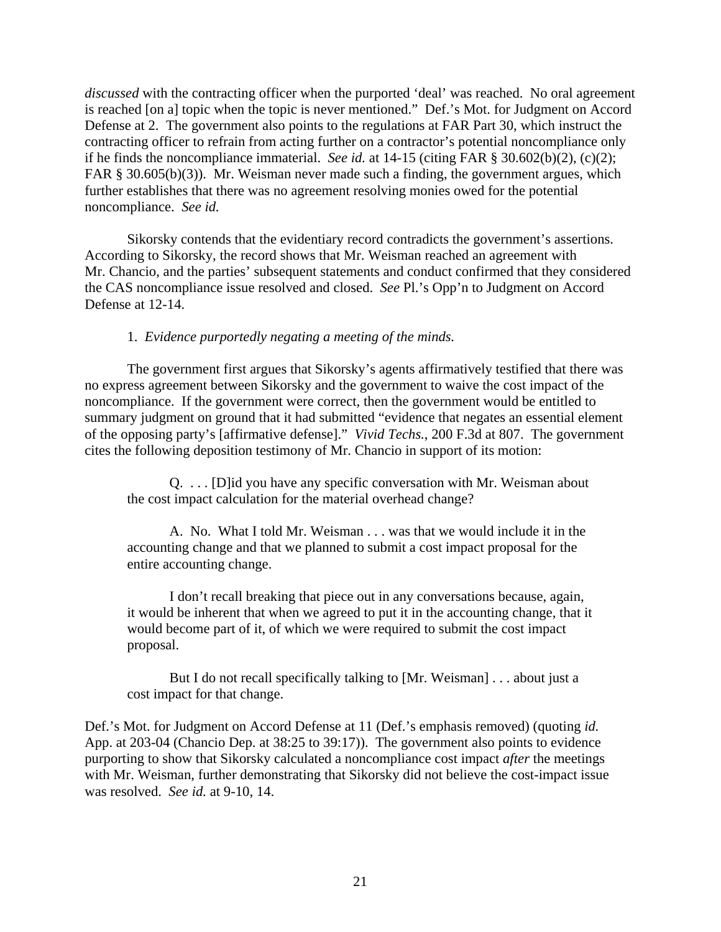*discussed* with the contracting officer when the purported 'deal' was reached. No oral agreement is reached [on a] topic when the topic is never mentioned." Def.'s Mot. for Judgment on Accord Defense at 2. The government also points to the regulations at FAR Part 30, which instruct the contracting officer to refrain from acting further on a contractor's potential noncompliance only if he finds the noncompliance immaterial. *See id.* at 14-15 (citing FAR § 30.602(b)(2), (c)(2); FAR § 30.605(b)(3)). Mr. Weisman never made such a finding, the government argues, which further establishes that there was no agreement resolving monies owed for the potential noncompliance. *See id.* 

 Sikorsky contends that the evidentiary record contradicts the government's assertions. According to Sikorsky, the record shows that Mr. Weisman reached an agreement with Mr. Chancio, and the parties' subsequent statements and conduct confirmed that they considered the CAS noncompliance issue resolved and closed. *See* Pl.'s Opp'n to Judgment on Accord Defense at 12-14.

# 1. *Evidence purportedly negating a meeting of the minds.*

 The government first argues that Sikorsky's agents affirmatively testified that there was no express agreement between Sikorsky and the government to waive the cost impact of the noncompliance. If the government were correct, then the government would be entitled to summary judgment on ground that it had submitted "evidence that negates an essential element of the opposing party's [affirmative defense]." *Vivid Techs.*, 200 F.3d at 807. The government cites the following deposition testimony of Mr. Chancio in support of its motion:

Q. . . . [D]id you have any specific conversation with Mr. Weisman about the cost impact calculation for the material overhead change?

A. No. What I told Mr. Weisman . . . was that we would include it in the accounting change and that we planned to submit a cost impact proposal for the entire accounting change.

I don't recall breaking that piece out in any conversations because, again, it would be inherent that when we agreed to put it in the accounting change, that it would become part of it, of which we were required to submit the cost impact proposal.

But I do not recall specifically talking to [Mr. Weisman] . . . about just a cost impact for that change.

Def.'s Mot. for Judgment on Accord Defense at 11 (Def.'s emphasis removed) (quoting *id.* App. at 203-04 (Chancio Dep. at 38:25 to 39:17)). The government also points to evidence purporting to show that Sikorsky calculated a noncompliance cost impact *after* the meetings with Mr. Weisman, further demonstrating that Sikorsky did not believe the cost-impact issue was resolved. *See id.* at 9-10, 14.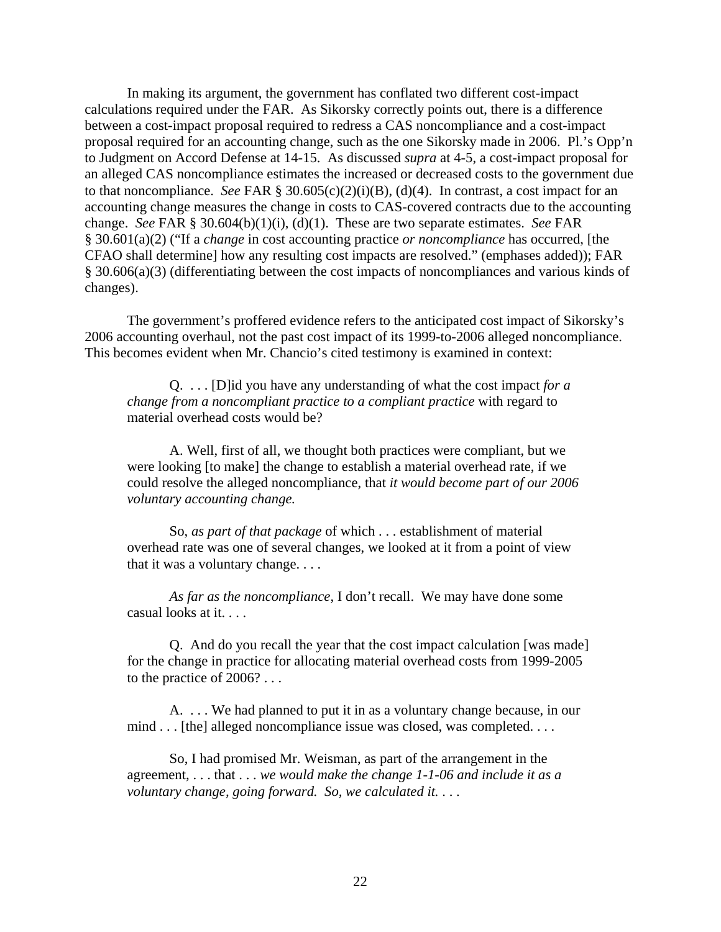In making its argument, the government has conflated two different cost-impact calculations required under the FAR. As Sikorsky correctly points out, there is a difference between a cost-impact proposal required to redress a CAS noncompliance and a cost-impact proposal required for an accounting change, such as the one Sikorsky made in 2006. Pl.'s Opp'n to Judgment on Accord Defense at 14-15. As discussed *supra* at 4-5, a cost-impact proposal for an alleged CAS noncompliance estimates the increased or decreased costs to the government due to that noncompliance. *See* FAR § 30.605(c)(2)(i)(B), (d)(4). In contrast, a cost impact for an accounting change measures the change in costs to CAS-covered contracts due to the accounting change. *See* FAR § 30.604(b)(1)(i), (d)(1). These are two separate estimates. *See* FAR § 30.601(a)(2) ("If a *change* in cost accounting practice *or noncompliance* has occurred, [the CFAO shall determine] how any resulting cost impacts are resolved." (emphases added)); FAR § 30.606(a)(3) (differentiating between the cost impacts of noncompliances and various kinds of changes).

 The government's proffered evidence refers to the anticipated cost impact of Sikorsky's 2006 accounting overhaul, not the past cost impact of its 1999-to-2006 alleged noncompliance. This becomes evident when Mr. Chancio's cited testimony is examined in context:

 Q. . . . [D]id you have any understanding of what the cost impact *for a change from a noncompliant practice to a compliant practice* with regard to material overhead costs would be?

 A. Well, first of all, we thought both practices were compliant, but we were looking [to make] the change to establish a material overhead rate, if we could resolve the alleged noncompliance, that *it would become part of our 2006 voluntary accounting change.*

 So, *as part of that package* of which . . . establishment of material overhead rate was one of several changes, we looked at it from a point of view that it was a voluntary change. . . .

*As far as the noncompliance*, I don't recall. We may have done some casual looks at it. . . .

 Q. And do you recall the year that the cost impact calculation [was made] for the change in practice for allocating material overhead costs from 1999-2005 to the practice of 2006? . . .

 A. . . . We had planned to put it in as a voluntary change because, in our mind . . . [the] alleged noncompliance issue was closed, was completed. . . .

 So, I had promised Mr. Weisman, as part of the arrangement in the agreement, . . . that . . . *we would make the change 1-1-06 and include it as a voluntary change, going forward. So, we calculated it.* . . .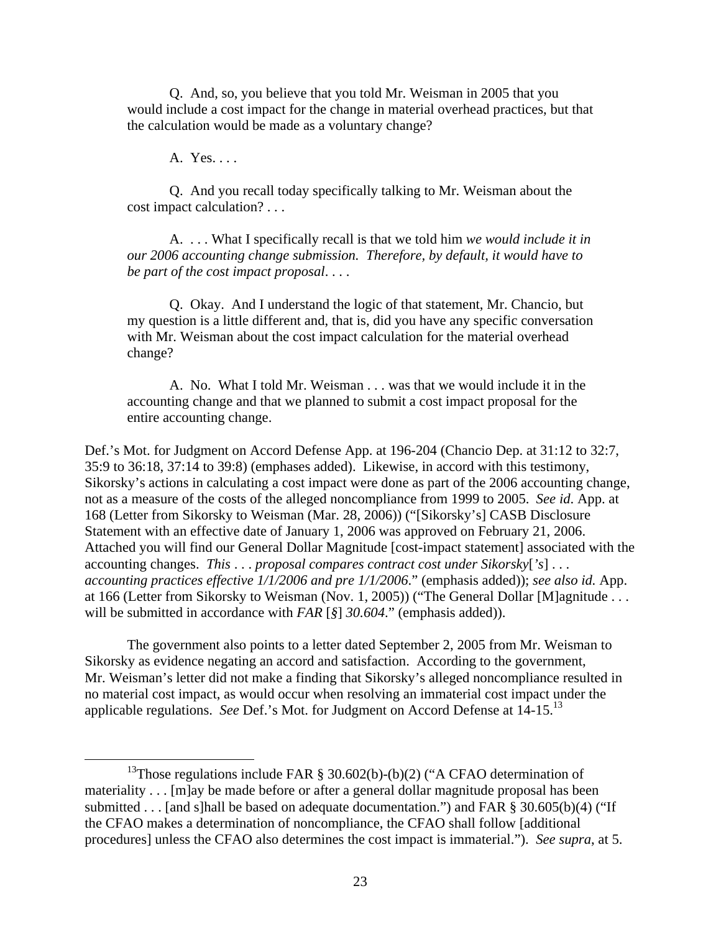Q. And, so, you believe that you told Mr. Weisman in 2005 that you would include a cost impact for the change in material overhead practices, but that the calculation would be made as a voluntary change?

A. Yes. . . .

 Q. And you recall today specifically talking to Mr. Weisman about the cost impact calculation? . . .

 A. . . . What I specifically recall is that we told him *we would include it in our 2006 accounting change submission. Therefore, by default, it would have to be part of the cost impact proposal*. . . .

Q. Okay. And I understand the logic of that statement, Mr. Chancio, but my question is a little different and, that is, did you have any specific conversation with Mr. Weisman about the cost impact calculation for the material overhead change?

 A. No. What I told Mr. Weisman . . . was that we would include it in the accounting change and that we planned to submit a cost impact proposal for the entire accounting change.

Def.'s Mot. for Judgment on Accord Defense App. at 196-204 (Chancio Dep. at 31:12 to 32:7, 35:9 to 36:18, 37:14 to 39:8) (emphases added). Likewise, in accord with this testimony, Sikorsky's actions in calculating a cost impact were done as part of the 2006 accounting change, not as a measure of the costs of the alleged noncompliance from 1999 to 2005. *See id*. App. at 168 (Letter from Sikorsky to Weisman (Mar. 28, 2006)) ("[Sikorsky's] CASB Disclosure Statement with an effective date of January 1, 2006 was approved on February 21, 2006. Attached you will find our General Dollar Magnitude [cost-impact statement] associated with the accounting changes. *This* . . . *proposal compares contract cost under Sikorsky*[*'s*] . . . *accounting practices effective 1/1/2006 and pre 1/1/2006*." (emphasis added)); *see also id.* App. at 166 (Letter from Sikorsky to Weisman (Nov. 1, 2005)) ("The General Dollar [M]agnitude ... will be submitted in accordance with *FAR* [*§*] *30.604*." (emphasis added)).

The government also points to a letter dated September 2, 2005 from Mr. Weisman to Sikorsky as evidence negating an accord and satisfaction. According to the government, Mr. Weisman's letter did not make a finding that Sikorsky's alleged noncompliance resulted in no material cost impact, as would occur when resolving an immaterial cost impact under the applicable regulations. *See* Def.'s Mot. for Judgment on Accord Defense at 14-15.13

<sup>&</sup>lt;sup>13</sup>Those regulations include FAR  $\S$  30.602(b)-(b)(2) ("A CFAO determination of materiality . . . [m]ay be made before or after a general dollar magnitude proposal has been submitted . . . [and s]hall be based on adequate documentation.") and FAR  $\S 30.605(b)(4)$  ("If the CFAO makes a determination of noncompliance, the CFAO shall follow [additional procedures] unless the CFAO also determines the cost impact is immaterial."). *See supra*, at 5.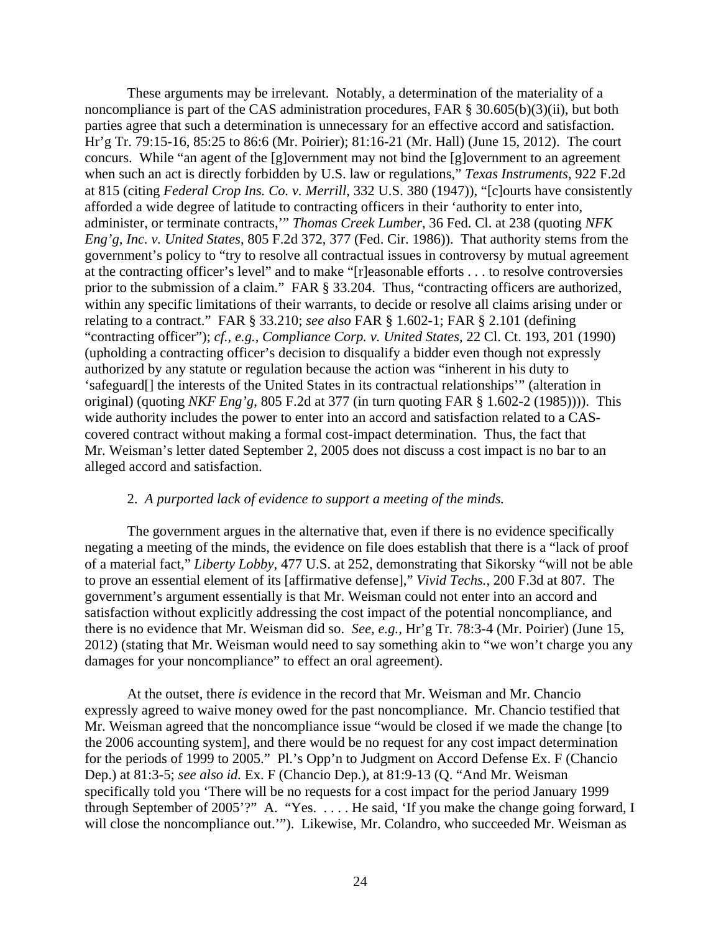These arguments may be irrelevant. Notably, a determination of the materiality of a noncompliance is part of the CAS administration procedures, FAR § 30.605(b)(3)(ii), but both parties agree that such a determination is unnecessary for an effective accord and satisfaction. Hr'g Tr. 79:15-16, 85:25 to 86:6 (Mr. Poirier); 81:16-21 (Mr. Hall) (June 15, 2012). The court concurs. While "an agent of the [g]overnment may not bind the [g]overnment to an agreement when such an act is directly forbidden by U.S. law or regulations," *Texas Instruments*, 922 F.2d at 815 (citing *Federal Crop Ins. Co. v. Merrill*, 332 U.S. 380 (1947)), "[c]ourts have consistently afforded a wide degree of latitude to contracting officers in their 'authority to enter into, administer, or terminate contracts,'" *Thomas Creek Lumber*, 36 Fed. Cl. at 238 (quoting *NFK Eng'g, Inc. v. United States*, 805 F.2d 372, 377 (Fed. Cir. 1986)). That authority stems from the government's policy to "try to resolve all contractual issues in controversy by mutual agreement at the contracting officer's level" and to make "[r]easonable efforts . . . to resolve controversies prior to the submission of a claim." FAR § 33.204. Thus, "contracting officers are authorized, within any specific limitations of their warrants, to decide or resolve all claims arising under or relating to a contract." FAR § 33.210; *see also* FAR § 1.602-1; FAR § 2.101 (defining "contracting officer"); *cf., e.g.*, *Compliance Corp. v. United States*, 22 Cl. Ct. 193, 201 (1990) (upholding a contracting officer's decision to disqualify a bidder even though not expressly authorized by any statute or regulation because the action was "inherent in his duty to 'safeguard[] the interests of the United States in its contractual relationships'" (alteration in original) (quoting *NKF Eng'g*, 805 F.2d at 377 (in turn quoting FAR § 1.602-2 (1985)))). This wide authority includes the power to enter into an accord and satisfaction related to a CAScovered contract without making a formal cost-impact determination. Thus, the fact that Mr. Weisman's letter dated September 2, 2005 does not discuss a cost impact is no bar to an alleged accord and satisfaction.

## 2. *A purported lack of evidence to support a meeting of the minds.*

The government argues in the alternative that, even if there is no evidence specifically negating a meeting of the minds, the evidence on file does establish that there is a "lack of proof of a material fact," *Liberty Lobby*, 477 U.S. at 252, demonstrating that Sikorsky "will not be able to prove an essential element of its [affirmative defense]," *Vivid Techs.*, 200 F.3d at 807. The government's argument essentially is that Mr. Weisman could not enter into an accord and satisfaction without explicitly addressing the cost impact of the potential noncompliance, and there is no evidence that Mr. Weisman did so. *See, e.g.*, Hr'g Tr. 78:3-4 (Mr. Poirier) (June 15, 2012) (stating that Mr. Weisman would need to say something akin to "we won't charge you any damages for your noncompliance" to effect an oral agreement).

At the outset, there *is* evidence in the record that Mr. Weisman and Mr. Chancio expressly agreed to waive money owed for the past noncompliance. Mr. Chancio testified that Mr. Weisman agreed that the noncompliance issue "would be closed if we made the change [to the 2006 accounting system], and there would be no request for any cost impact determination for the periods of 1999 to 2005." Pl.'s Opp'n to Judgment on Accord Defense Ex. F (Chancio Dep.) at 81:3-5; *see also id.* Ex. F (Chancio Dep.), at 81:9-13 (Q. "And Mr. Weisman specifically told you 'There will be no requests for a cost impact for the period January 1999 through September of 2005'?" A. "Yes. . . . . He said, 'If you make the change going forward, I will close the noncompliance out.""). Likewise, Mr. Colandro, who succeeded Mr. Weisman as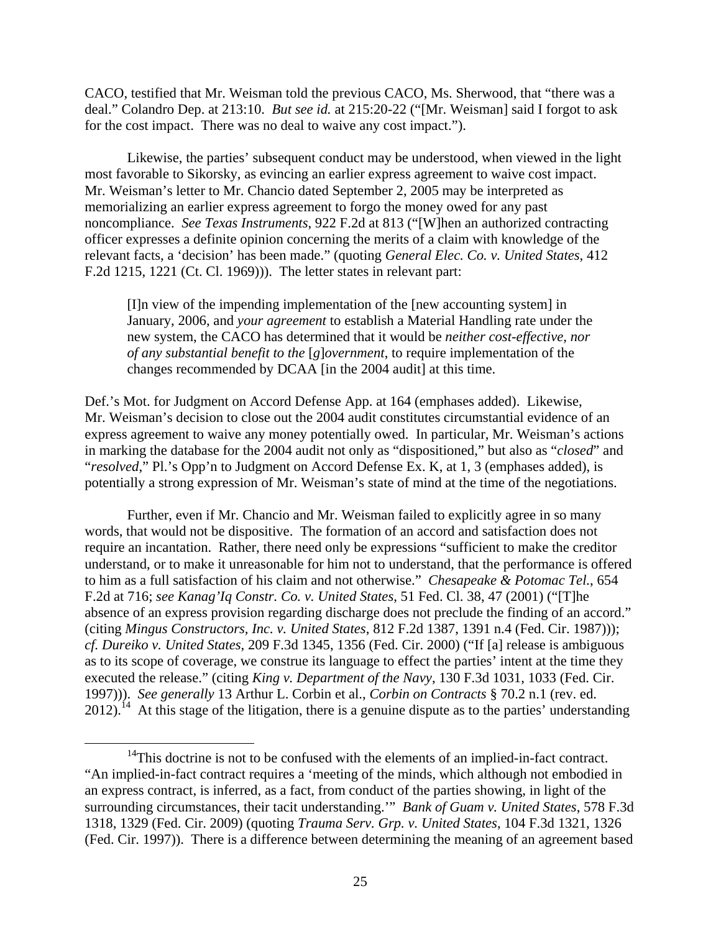CACO, testified that Mr. Weisman told the previous CACO, Ms. Sherwood, that "there was a deal." Colandro Dep. at 213:10. *But see id.* at 215:20-22 ("[Mr. Weisman] said I forgot to ask for the cost impact. There was no deal to waive any cost impact.").

Likewise, the parties' subsequent conduct may be understood, when viewed in the light most favorable to Sikorsky, as evincing an earlier express agreement to waive cost impact. Mr. Weisman's letter to Mr. Chancio dated September 2, 2005 may be interpreted as memorializing an earlier express agreement to forgo the money owed for any past noncompliance. *See Texas Instruments*, 922 F.2d at 813 ("[W]hen an authorized contracting officer expresses a definite opinion concerning the merits of a claim with knowledge of the relevant facts, a 'decision' has been made." (quoting *General Elec. Co. v. United States*, 412 F.2d 1215, 1221 (Ct. Cl. 1969))). The letter states in relevant part:

[I]n view of the impending implementation of the [new accounting system] in January, 2006, and *your agreement* to establish a Material Handling rate under the new system, the CACO has determined that it would be *neither cost-effective, nor of any substantial benefit to the* [*g*]*overnment*, to require implementation of the changes recommended by DCAA [in the 2004 audit] at this time.

Def.'s Mot. for Judgment on Accord Defense App. at 164 (emphases added). Likewise, Mr. Weisman's decision to close out the 2004 audit constitutes circumstantial evidence of an express agreement to waive any money potentially owed. In particular, Mr. Weisman's actions in marking the database for the 2004 audit not only as "dispositioned," but also as "*closed*" and "*resolved*," Pl.'s Opp'n to Judgment on Accord Defense Ex. K, at 1, 3 (emphases added), is potentially a strong expression of Mr. Weisman's state of mind at the time of the negotiations.

Further, even if Mr. Chancio and Mr. Weisman failed to explicitly agree in so many words, that would not be dispositive. The formation of an accord and satisfaction does not require an incantation. Rather, there need only be expressions "sufficient to make the creditor understand, or to make it unreasonable for him not to understand, that the performance is offered to him as a full satisfaction of his claim and not otherwise." *Chesapeake & Potomac Tel.*, 654 F.2d at 716; *see Kanag'Iq Constr. Co. v. United States*, 51 Fed. Cl. 38, 47 (2001) ("[T]he absence of an express provision regarding discharge does not preclude the finding of an accord." (citing *Mingus Constructors, Inc. v. United States*, 812 F.2d 1387, 1391 n.4 (Fed. Cir. 1987))); *cf. Dureiko v. United States*, 209 F.3d 1345, 1356 (Fed. Cir. 2000) ("If [a] release is ambiguous as to its scope of coverage, we construe its language to effect the parties' intent at the time they executed the release." (citing *King v. Department of the Navy*, 130 F.3d 1031, 1033 (Fed. Cir. 1997))). *See generally* 13 Arthur L. Corbin et al., *Corbin on Contracts* § 70.2 n.1 (rev. ed.  $2012$ ).<sup>14</sup> At this stage of the litigation, there is a genuine dispute as to the parties' understanding

 $14$ This doctrine is not to be confused with the elements of an implied-in-fact contract. "An implied-in-fact contract requires a 'meeting of the minds, which although not embodied in an express contract, is inferred, as a fact, from conduct of the parties showing, in light of the surrounding circumstances, their tacit understanding.'" *Bank of Guam v. United States*, 578 F.3d 1318, 1329 (Fed. Cir. 2009) (quoting *Trauma Serv. Grp. v. United States*, 104 F.3d 1321, 1326 (Fed. Cir. 1997)). There is a difference between determining the meaning of an agreement based